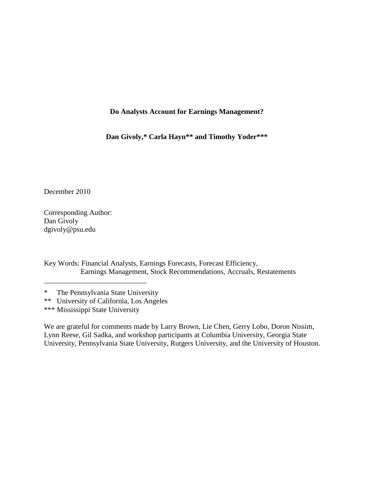## **Do Analysts Account for Earnings Management?**

**Dan Givoly,\* Carla Hayn\*\* and Timothy Yoder\*\*\***

December 2010

Corresponding Author: Dan Givoly dgivoly@psu.edu

Key Words: Financial Analysts, Earnings Forecasts, Forecast Efficiency, Earnings Management, Stock Recommendations, Accruals, Restatements

\_\_\_\_\_\_\_\_\_\_\_\_\_\_\_\_\_\_\_\_\_\_\_\_\_\_\_\_

We are grateful for comments made by Larry Brown, Lie Chen, Gerry Lobo, Doron Nissim, Lynn Reese, Gil Sadka, and workshop participants at Columbia University, Georgia State University, Pennsylvania State University, Rutgers University, and the University of Houston.

<sup>\*</sup> The Pennsylvania State University

<sup>\*\*</sup> University of California, Los Angeles

<sup>\*\*\*</sup> Mississippi State University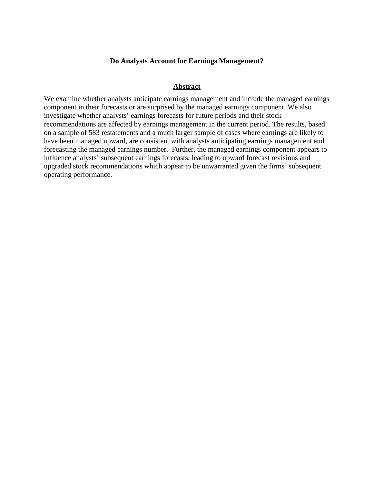### **Do Analysts Account for Earnings Management?**

### **Abstract**

We examine whether analysts anticipate earnings management and include the managed earnings component in their forecasts or are surprised by the managed earnings component. We also investigate whether analysts' earnings forecasts for future periods and their stock recommendations are affected by earnings management in the current period. The results, based on a sample of 583 restatements and a much larger sample of cases where earnings are likely to have been managed upward, are consistent with analysts anticipating earnings management and forecasting the managed earnings number. Further, the managed earnings component appears to influence analysts' subsequent earnings forecasts, leading to upward forecast revisions and upgraded stock recommendations which appear to be unwarranted given the firms' subsequent operating performance.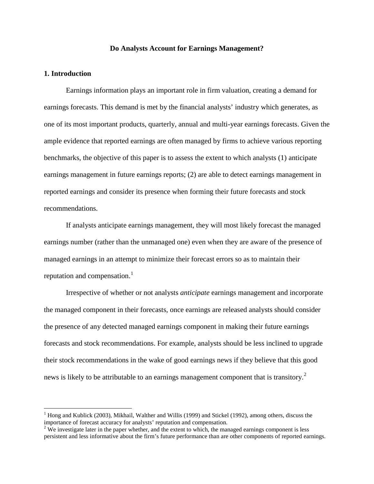### **Do Analysts Account for Earnings Management?**

### **1. Introduction**

Earnings information plays an important role in firm valuation, creating a demand for earnings forecasts. This demand is met by the financial analysts' industry which generates, as one of its most important products, quarterly, annual and multi-year earnings forecasts. Given the ample evidence that reported earnings are often managed by firms to achieve various reporting benchmarks, the objective of this paper is to assess the extent to which analysts (1) anticipate earnings management in future earnings reports; (2) are able to detect earnings management in reported earnings and consider its presence when forming their future forecasts and stock recommendations.

If analysts anticipate earnings management, they will most likely forecast the managed earnings number (rather than the unmanaged one) even when they are aware of the presence of managed earnings in an attempt to minimize their forecast errors so as to maintain their reputation and compensation.<sup>[1](#page-2-0)</sup>

Irrespective of whether or not analysts *anticipate* earnings management and incorporate the managed component in their forecasts, once earnings are released analysts should consider the presence of any detected managed earnings component in making their future earnings forecasts and stock recommendations. For example, analysts should be less inclined to upgrade their stock recommendations in the wake of good earnings news if they believe that this good news is likely to be attributable to an earnings management component that is transitory.<sup>[2](#page-2-1)</sup>

<span id="page-2-0"></span><sup>&</sup>lt;sup>1</sup> Hong and Kublick (2003), Mikhail, Walther and Willis (1999) and Stickel (1992), among others, discuss the importance of forecast accuracy for analysts' reputation and compensation.

<span id="page-2-1"></span> $2$  We investigate later in the paper whether, and the extent to which, the managed earnings component is less persistent and less informative about the firm's future performance than are other components of reported earnings.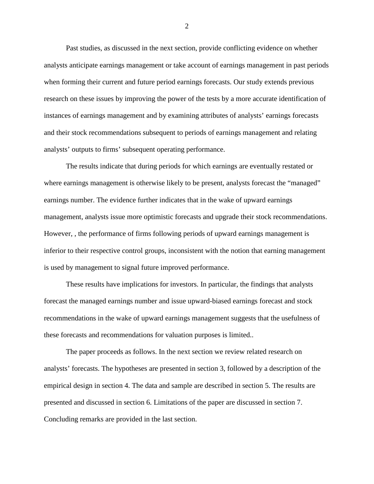Past studies, as discussed in the next section, provide conflicting evidence on whether analysts anticipate earnings management or take account of earnings management in past periods when forming their current and future period earnings forecasts. Our study extends previous research on these issues by improving the power of the tests by a more accurate identification of instances of earnings management and by examining attributes of analysts' earnings forecasts and their stock recommendations subsequent to periods of earnings management and relating analysts' outputs to firms' subsequent operating performance.

The results indicate that during periods for which earnings are eventually restated or where earnings management is otherwise likely to be present, analysts forecast the "managed" earnings number. The evidence further indicates that in the wake of upward earnings management, analysts issue more optimistic forecasts and upgrade their stock recommendations. However, , the performance of firms following periods of upward earnings management is inferior to their respective control groups, inconsistent with the notion that earning management is used by management to signal future improved performance.

These results have implications for investors. In particular, the findings that analysts forecast the managed earnings number and issue upward-biased earnings forecast and stock recommendations in the wake of upward earnings management suggests that the usefulness of these forecasts and recommendations for valuation purposes is limited..

The paper proceeds as follows. In the next section we review related research on analysts' forecasts. The hypotheses are presented in section 3, followed by a description of the empirical design in section 4. The data and sample are described in section 5. The results are presented and discussed in section 6. Limitations of the paper are discussed in section 7. Concluding remarks are provided in the last section.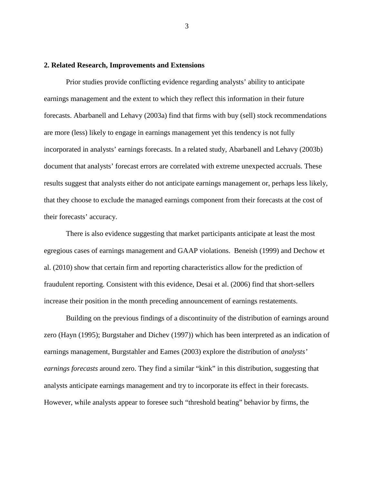### **2. Related Research, Improvements and Extensions**

Prior studies provide conflicting evidence regarding analysts' ability to anticipate earnings management and the extent to which they reflect this information in their future forecasts. Abarbanell and Lehavy (2003a) find that firms with buy (sell) stock recommendations are more (less) likely to engage in earnings management yet this tendency is not fully incorporated in analysts' earnings forecasts. In a related study, Abarbanell and Lehavy (2003b) document that analysts' forecast errors are correlated with extreme unexpected accruals. These results suggest that analysts either do not anticipate earnings management or, perhaps less likely, that they choose to exclude the managed earnings component from their forecasts at the cost of their forecasts' accuracy.

There is also evidence suggesting that market participants anticipate at least the most egregious cases of earnings management and GAAP violations. Beneish (1999) and Dechow et al. (2010) show that certain firm and reporting characteristics allow for the prediction of fraudulent reporting. Consistent with this evidence, Desai et al. (2006) find that short-sellers increase their position in the month preceding announcement of earnings restatements.

Building on the previous findings of a discontinuity of the distribution of earnings around zero (Hayn (1995); Burgstaher and Dichev (1997)) which has been interpreted as an indication of earnings management, Burgstahler and Eames (2003) explore the distribution of *analysts' earnings forecasts* around zero. They find a similar "kink" in this distribution, suggesting that analysts anticipate earnings management and try to incorporate its effect in their forecasts. However, while analysts appear to foresee such "threshold beating" behavior by firms, the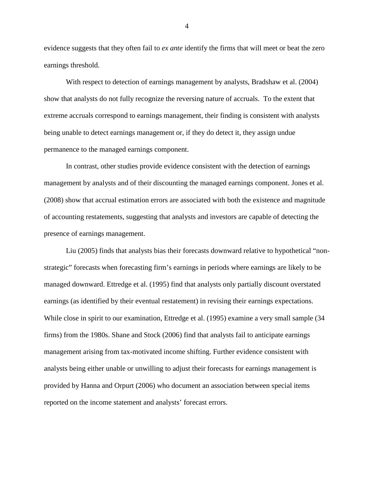evidence suggests that they often fail to *ex ante* identify the firms that will meet or beat the zero earnings threshold.

With respect to detection of earnings management by analysts, Bradshaw et al. (2004) show that analysts do not fully recognize the reversing nature of accruals. To the extent that extreme accruals correspond to earnings management, their finding is consistent with analysts being unable to detect earnings management or, if they do detect it, they assign undue permanence to the managed earnings component.

In contrast, other studies provide evidence consistent with the detection of earnings management by analysts and of their discounting the managed earnings component. Jones et al. (2008) show that accrual estimation errors are associated with both the existence and magnitude of accounting restatements, suggesting that analysts and investors are capable of detecting the presence of earnings management.

Liu (2005) finds that analysts bias their forecasts downward relative to hypothetical "nonstrategic" forecasts when forecasting firm's earnings in periods where earnings are likely to be managed downward. Ettredge et al. (1995) find that analysts only partially discount overstated earnings (as identified by their eventual restatement) in revising their earnings expectations. While close in spirit to our examination, Ettredge et al. (1995) examine a very small sample (34 firms) from the 1980s. Shane and Stock (2006) find that analysts fail to anticipate earnings management arising from tax-motivated income shifting. Further evidence consistent with analysts being either unable or unwilling to adjust their forecasts for earnings management is provided by Hanna and Orpurt (2006) who document an association between special items reported on the income statement and analysts' forecast errors.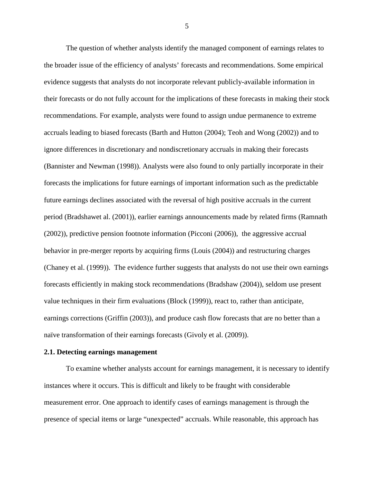The question of whether analysts identify the managed component of earnings relates to the broader issue of the efficiency of analysts' forecasts and recommendations. Some empirical evidence suggests that analysts do not incorporate relevant publicly-available information in their forecasts or do not fully account for the implications of these forecasts in making their stock recommendations. For example, analysts were found to assign undue permanence to extreme accruals leading to biased forecasts (Barth and Hutton (2004); Teoh and Wong (2002)) and to ignore differences in discretionary and nondiscretionary accruals in making their forecasts (Bannister and Newman (1998)). Analysts were also found to only partially incorporate in their forecasts the implications for future earnings of important information such as the predictable future earnings declines associated with the reversal of high positive accruals in the current period (Bradshawet al. (2001)), earlier earnings announcements made by related firms (Ramnath (2002)), predictive pension footnote information (Picconi (2006)), the aggressive accrual behavior in pre-merger reports by acquiring firms (Louis (2004)) and restructuring charges (Chaney et al. (1999)). The evidence further suggests that analysts do not use their own earnings forecasts efficiently in making stock recommendations (Bradshaw (2004)), seldom use present value techniques in their firm evaluations (Block (1999)), react to, rather than anticipate, earnings corrections (Griffin (2003)), and produce cash flow forecasts that are no better than a naïve transformation of their earnings forecasts (Givoly et al. (2009)).

#### **2.1. Detecting earnings management**

To examine whether analysts account for earnings management, it is necessary to identify instances where it occurs. This is difficult and likely to be fraught with considerable measurement error. One approach to identify cases of earnings management is through the presence of special items or large "unexpected" accruals. While reasonable, this approach has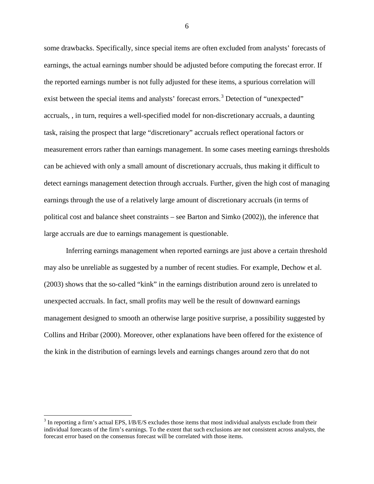some drawbacks. Specifically, since special items are often excluded from analysts' forecasts of earnings, the actual earnings number should be adjusted before computing the forecast error. If the reported earnings number is not fully adjusted for these items, a spurious correlation will exist between the special items and analysts' forecast errors.<sup>[3](#page-7-0)</sup> Detection of "unexpected" accruals, , in turn, requires a well-specified model for non-discretionary accruals, a daunting task, raising the prospect that large "discretionary" accruals reflect operational factors or measurement errors rather than earnings management. In some cases meeting earnings thresholds can be achieved with only a small amount of discretionary accruals, thus making it difficult to detect earnings management detection through accruals. Further, given the high cost of managing earnings through the use of a relatively large amount of discretionary accruals (in terms of political cost and balance sheet constraints – see Barton and Simko (2002)), the inference that large accruals are due to earnings management is questionable.

Inferring earnings management when reported earnings are just above a certain threshold may also be unreliable as suggested by a number of recent studies. For example, Dechow et al. (2003) shows that the so-called "kink" in the earnings distribution around zero is unrelated to unexpected accruals. In fact, small profits may well be the result of downward earnings management designed to smooth an otherwise large positive surprise, a possibility suggested by Collins and Hribar (2000). Moreover, other explanations have been offered for the existence of the kink in the distribution of earnings levels and earnings changes around zero that do not

<span id="page-7-0"></span><sup>&</sup>lt;sup>3</sup> In reporting a firm's actual EPS, I/B/E/S excludes those items that most individual analysts exclude from their individual forecasts of the firm's earnings. To the extent that such exclusions are not consistent across analysts, the forecast error based on the consensus forecast will be correlated with those items.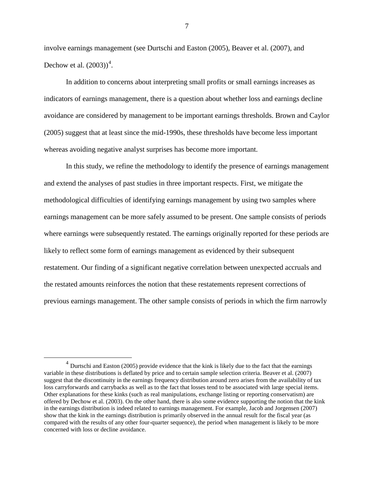involve earnings management (see Durtschi and Easton (2005), Beaver et al. (2007), and Dechow et al.  $(2003))^4$  $(2003))^4$ .

In addition to concerns about interpreting small profits or small earnings increases as indicators of earnings management, there is a question about whether loss and earnings decline avoidance are considered by management to be important earnings thresholds. Brown and Caylor (2005) suggest that at least since the mid-1990s, these thresholds have become less important whereas avoiding negative analyst surprises has become more important.

In this study, we refine the methodology to identify the presence of earnings management and extend the analyses of past studies in three important respects. First, we mitigate the methodological difficulties of identifying earnings management by using two samples where earnings management can be more safely assumed to be present. One sample consists of periods where earnings were subsequently restated. The earnings originally reported for these periods are likely to reflect some form of earnings management as evidenced by their subsequent restatement. Our finding of a significant negative correlation between unexpected accruals and the restated amounts reinforces the notion that these restatements represent corrections of previous earnings management. The other sample consists of periods in which the firm narrowly

<span id="page-8-0"></span><sup>&</sup>lt;sup>4</sup> Durtschi and Easton (2005) provide evidence that the kink is likely due to the fact that the earnings variable in these distributions is deflated by price and to certain sample selection criteria. Beaver et al. (2007) suggest that the discontinuity in the earnings frequency distribution around zero arises from the availability of tax loss carryforwards and carrybacks as well as to the fact that losses tend to be associated with large special items. Other explanations for these kinks (such as real manipulations, exchange listing or reporting conservatism) are offered by Dechow et al. (2003). On the other hand, there is also some evidence supporting the notion that the kink in the earnings distribution is indeed related to earnings management. For example, Jacob and Jorgensen (2007) show that the kink in the earnings distribution is primarily observed in the annual result for the fiscal year (as compared with the results of any other four-quarter sequence), the period when management is likely to be more concerned with loss or decline avoidance.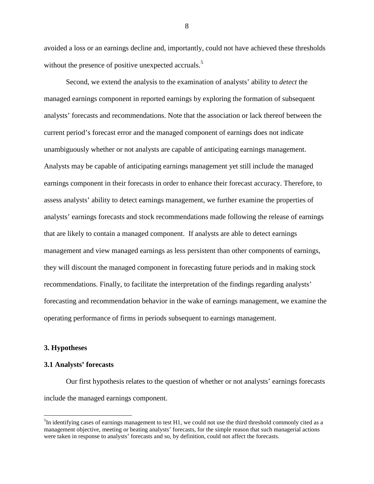avoided a loss or an earnings decline and, importantly, could not have achieved these thresholds without the presence of positive unexpected accruals.<sup>[5](#page-9-0)</sup>

Second, we extend the analysis to the examination of analysts' ability to *detect* the managed earnings component in reported earnings by exploring the formation of subsequent analysts' forecasts and recommendations. Note that the association or lack thereof between the current period's forecast error and the managed component of earnings does not indicate unambiguously whether or not analysts are capable of anticipating earnings management. Analysts may be capable of anticipating earnings management yet still include the managed earnings component in their forecasts in order to enhance their forecast accuracy. Therefore, to assess analysts' ability to detect earnings management, we further examine the properties of analysts' earnings forecasts and stock recommendations made following the release of earnings that are likely to contain a managed component. If analysts are able to detect earnings management and view managed earnings as less persistent than other components of earnings, they will discount the managed component in forecasting future periods and in making stock recommendations. Finally, to facilitate the interpretation of the findings regarding analysts' forecasting and recommendation behavior in the wake of earnings management, we examine the operating performance of firms in periods subsequent to earnings management.

#### **3. Hypotheses**

### **3.1 Analysts' forecasts**

Our first hypothesis relates to the question of whether or not analysts' earnings forecasts include the managed earnings component.

<span id="page-9-0"></span> $\frac{1}{5}$  ${}^{5}$ In identifying cases of earnings management to test H1, we could not use the third threshold commonly cited as a management objective, meeting or beating analysts' forecasts, for the simple reason that such managerial actions were taken in response to analysts' forecasts and so, by definition, could not affect the forecasts.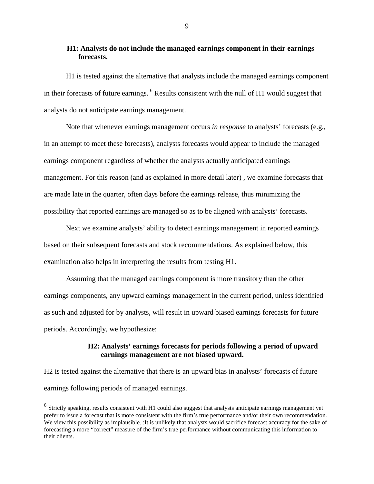## **H1: Analysts do not include the managed earnings component in their earnings forecasts.**

H1 is tested against the alternative that analysts include the managed earnings component in their forecasts of future earnings. <sup>[6](#page-10-0)</sup> Results consistent with the null of H1 would suggest that analysts do not anticipate earnings management.

Note that whenever earnings management occurs *in response* to analysts' forecasts (e.g., in an attempt to meet these forecasts), analysts forecasts would appear to include the managed earnings component regardless of whether the analysts actually anticipated earnings management. For this reason (and as explained in more detail later) , we examine forecasts that are made late in the quarter, often days before the earnings release, thus minimizing the possibility that reported earnings are managed so as to be aligned with analysts' forecasts.

Next we examine analysts' ability to detect earnings management in reported earnings based on their subsequent forecasts and stock recommendations. As explained below, this examination also helps in interpreting the results from testing H1.

Assuming that the managed earnings component is more transitory than the other earnings components, any upward earnings management in the current period, unless identified as such and adjusted for by analysts, will result in upward biased earnings forecasts for future periods. Accordingly, we hypothesize:

### **H2: Analysts' earnings forecasts for periods following a period of upward earnings management are not biased upward.**

H2 is tested against the alternative that there is an upward bias in analysts' forecasts of future earnings following periods of managed earnings.

<span id="page-10-0"></span> $6$  Strictly speaking, results consistent with H1 could also suggest that analysts anticipate earnings management yet prefer to issue a forecast that is more consistent with the firm's true performance and/or their own recommendation. We view this possibility as implausible. It is unlikely that analysts would sacrifice forecast accuracy for the sake of forecasting a more "correct" measure of the firm's true performance without communicating this information to their clients.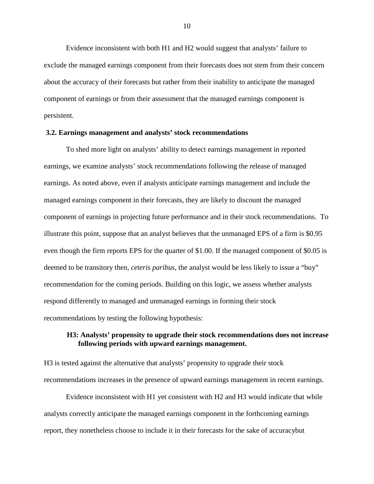Evidence inconsistent with both H1 and H2 would suggest that analysts' failure to exclude the managed earnings component from their forecasts does not stem from their concern about the accuracy of their forecasts but rather from their inability to anticipate the managed component of earnings or from their assessment that the managed earnings component is persistent.

### **3.2. Earnings management and analysts' stock recommendations**

To shed more light on analysts' ability to detect earnings management in reported earnings, we examine analysts' stock recommendations following the release of managed earnings. As noted above, even if analysts anticipate earnings management and include the managed earnings component in their forecasts, they are likely to discount the managed component of earnings in projecting future performance and in their stock recommendations. To illustrate this point, suppose that an analyst believes that the unmanaged EPS of a firm is \$0.95 even though the firm reports EPS for the quarter of \$1.00. If the managed component of \$0.05 is deemed to be transitory then, *ceteris paribus*, the analyst would be less likely to issue a "buy" recommendation for the coming periods. Building on this logic, we assess whether analysts respond differently to managed and unmanaged earnings in forming their stock recommendations by testing the following hypothesis:

## **H3: Analysts' propensity to upgrade their stock recommendations does not increase following periods with upward earnings management.**

H3 is tested against the alternative that analysts' propensity to upgrade their stock recommendations increases in the presence of upward earnings management in recent earnings.

Evidence inconsistent with H1 yet consistent with H2 and H3 would indicate that while analysts correctly anticipate the managed earnings component in the forthcoming earnings report, they nonetheless choose to include it in their forecasts for the sake of accuracybut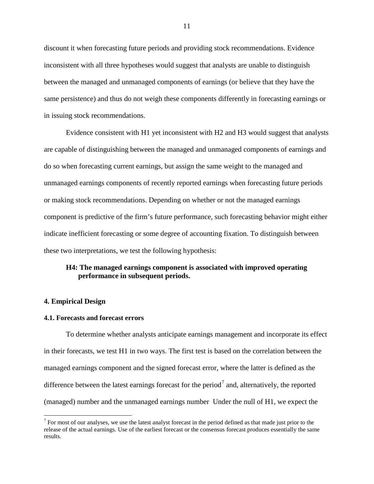discount it when forecasting future periods and providing stock recommendations. Evidence inconsistent with all three hypotheses would suggest that analysts are unable to distinguish between the managed and unmanaged components of earnings (or believe that they have the same persistence) and thus do not weigh these components differently in forecasting earnings or in issuing stock recommendations.

Evidence consistent with H1 yet inconsistent with H2 and H3 would suggest that analysts are capable of distinguishing between the managed and unmanaged components of earnings and do so when forecasting current earnings, but assign the same weight to the managed and unmanaged earnings components of recently reported earnings when forecasting future periods or making stock recommendations. Depending on whether or not the managed earnings component is predictive of the firm's future performance, such forecasting behavior might either indicate inefficient forecasting or some degree of accounting fixation. To distinguish between these two interpretations, we test the following hypothesis:

## **H4: The managed earnings component is associated with improved operating performance in subsequent periods.**

### **4. Empirical Design**

### **4.1. Forecasts and forecast errors**

To determine whether analysts anticipate earnings management and incorporate its effect in their forecasts, we test H1 in two ways. The first test is based on the correlation between the managed earnings component and the signed forecast error, where the latter is defined as the difference between the latest earnings forecast for the period<sup>[7](#page-12-0)</sup> and, alternatively, the reported (managed) number and the unmanaged earnings number Under the null of H1, we expect the

<span id="page-12-0"></span> $<sup>7</sup>$  For most of our analyses, we use the latest analyst forecast in the period defined as that made just prior to the</sup> release of the actual earnings. Use of the earliest forecast or the consensus forecast produces essentially the same results.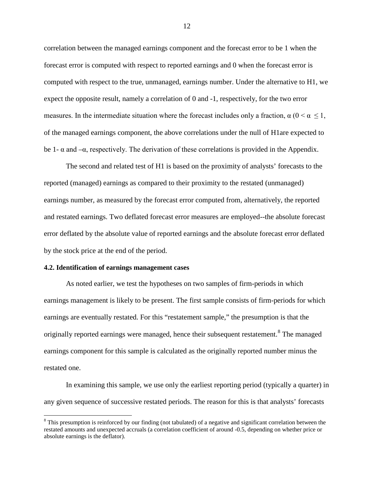correlation between the managed earnings component and the forecast error to be 1 when the forecast error is computed with respect to reported earnings and 0 when the forecast error is computed with respect to the true, unmanaged, earnings number. Under the alternative to H1, we expect the opposite result, namely a correlation of 0 and -1, respectively, for the two error measures. In the intermediate situation where the forecast includes only a fraction,  $\alpha$  ( $0 \le \alpha \le 1$ , of the managed earnings component, the above correlations under the null of H1are expected to be 1-  $\alpha$  and  $-\alpha$ , respectively. The derivation of these correlations is provided in the Appendix.

The second and related test of H1 is based on the proximity of analysts' forecasts to the reported (managed) earnings as compared to their proximity to the restated (unmanaged) earnings number, as measured by the forecast error computed from, alternatively, the reported and restated earnings. Two deflated forecast error measures are employed--the absolute forecast error deflated by the absolute value of reported earnings and the absolute forecast error deflated by the stock price at the end of the period.

### **4.2. Identification of earnings management cases**

As noted earlier, we test the hypotheses on two samples of firm-periods in which earnings management is likely to be present. The first sample consists of firm-periods for which earnings are eventually restated. For this "restatement sample," the presumption is that the originally reported earnings were managed, hence their subsequent restatement.<sup>[8](#page-13-0)</sup> The managed earnings component for this sample is calculated as the originally reported number minus the restated one.

In examining this sample, we use only the earliest reporting period (typically a quarter) in any given sequence of successive restated periods. The reason for this is that analysts' forecasts

<span id="page-13-0"></span><sup>&</sup>lt;sup>8</sup> This presumption is reinforced by our finding (not tabulated) of a negative and significant correlation between the restated amounts and unexpected accruals (a correlation coefficient of around -0.5, depending on whether price or absolute earnings is the deflator).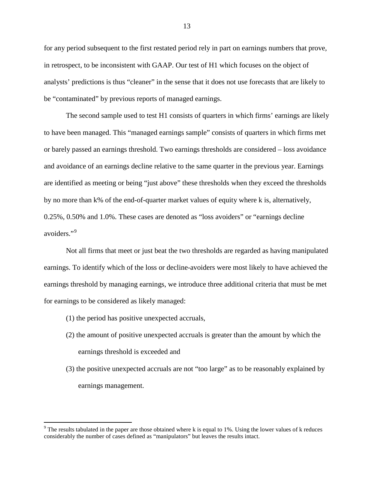for any period subsequent to the first restated period rely in part on earnings numbers that prove, in retrospect, to be inconsistent with GAAP. Our test of H1 which focuses on the object of analysts' predictions is thus "cleaner" in the sense that it does not use forecasts that are likely to be "contaminated" by previous reports of managed earnings.

The second sample used to test H1 consists of quarters in which firms' earnings are likely to have been managed. This "managed earnings sample" consists of quarters in which firms met or barely passed an earnings threshold. Two earnings thresholds are considered – loss avoidance and avoidance of an earnings decline relative to the same quarter in the previous year. Earnings are identified as meeting or being "just above" these thresholds when they exceed the thresholds by no more than k% of the end-of-quarter market values of equity where k is, alternatively, 0.25%, 0.50% and 1.0%. These cases are denoted as "loss avoiders" or "earnings decline avoiders."<sup>[9](#page-14-0)</sup>

Not all firms that meet or just beat the two thresholds are regarded as having manipulated earnings. To identify which of the loss or decline-avoiders were most likely to have achieved the earnings threshold by managing earnings, we introduce three additional criteria that must be met for earnings to be considered as likely managed:

- (1) the period has positive unexpected accruals,
- (2) the amount of positive unexpected accruals is greater than the amount by which the earnings threshold is exceeded and
- (3) the positive unexpected accruals are not "too large" as to be reasonably explained by earnings management.

<span id="page-14-0"></span> $9$  The results tabulated in the paper are those obtained where k is equal to 1%. Using the lower values of k reduces considerably the number of cases defined as "manipulators" but leaves the results intact.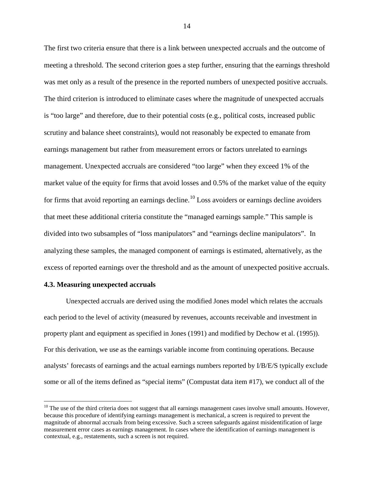The first two criteria ensure that there is a link between unexpected accruals and the outcome of meeting a threshold. The second criterion goes a step further, ensuring that the earnings threshold was met only as a result of the presence in the reported numbers of unexpected positive accruals. The third criterion is introduced to eliminate cases where the magnitude of unexpected accruals is "too large" and therefore, due to their potential costs (e.g., political costs, increased public scrutiny and balance sheet constraints), would not reasonably be expected to emanate from earnings management but rather from measurement errors or factors unrelated to earnings management. Unexpected accruals are considered "too large" when they exceed 1% of the market value of the equity for firms that avoid losses and 0.5% of the market value of the equity for firms that avoid reporting an earnings decline.<sup>[10](#page-15-0)</sup> Loss avoiders or earnings decline avoiders that meet these additional criteria constitute the "managed earnings sample." This sample is divided into two subsamples of "loss manipulators" and "earnings decline manipulators". In analyzing these samples, the managed component of earnings is estimated, alternatively, as the excess of reported earnings over the threshold and as the amount of unexpected positive accruals.

### **4.3. Measuring unexpected accruals**

Unexpected accruals are derived using the modified Jones model which relates the accruals each period to the level of activity (measured by revenues, accounts receivable and investment in property plant and equipment as specified in Jones (1991) and modified by Dechow et al. (1995)). For this derivation, we use as the earnings variable income from continuing operations. Because analysts' forecasts of earnings and the actual earnings numbers reported by I/B/E/S typically exclude some or all of the items defined as "special items" (Compustat data item #17), we conduct all of the

<span id="page-15-0"></span> $10$  The use of the third criteria does not suggest that all earnings management cases involve small amounts. However, because this procedure of identifying earnings management is mechanical, a screen is required to prevent the magnitude of abnormal accruals from being excessive. Such a screen safeguards against misidentification of large measurement error cases as earnings management. In cases where the identification of earnings management is contextual, e.g., restatements, such a screen is not required.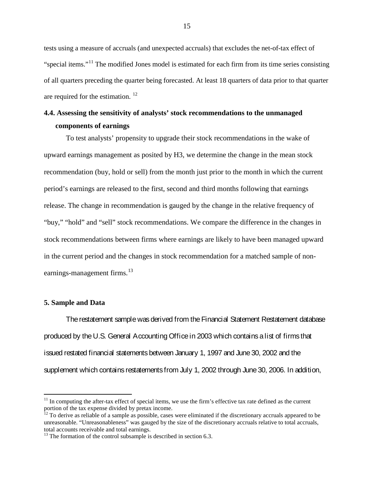tests using a measure of accruals (and unexpected accruals) that excludes the net-of-tax effect of "special items."<sup>[11](#page-16-0)</sup> The modified Jones model is estimated for each firm from its time series consisting of all quarters preceding the quarter being forecasted. At least 18 quarters of data prior to that quarter are required for the estimation. [12](#page-16-1)

# **4.4. Assessing the sensitivity of analysts' stock recommendations to the unmanaged components of earnings**

To test analysts' propensity to upgrade their stock recommendations in the wake of upward earnings management as posited by H3, we determine the change in the mean stock recommendation (buy, hold or sell) from the month just prior to the month in which the current period's earnings are released to the first, second and third months following that earnings release. The change in recommendation is gauged by the change in the relative frequency of "buy," "hold" and "sell" stock recommendations. We compare the difference in the changes in stock recommendations between firms where earnings are likely to have been managed upward in the current period and the changes in stock recommendation for a matched sample of nonearnings-management firms. $13$ 

### **5. Sample and Data**

The restatement sample was derived from the Financial Statement Restatement database produced by the U.S. General Accounting Office in 2003 which contains a list of firms that issued restated financial statements between January 1, 1997 and June 30, 2002 and the supplement which contains restatements from July 1, 2002 through June 30, 2006. In addition,

<span id="page-16-0"></span> $11$  In computing the after-tax effect of special items, we use the firm's effective tax rate defined as the current portion of the tax expense divided by pretax income.

<span id="page-16-1"></span> $12$  To derive as reliable of a sample as possible, cases were eliminated if the discretionary accruals appeared to be unreasonable. "Unreasonableness" was gauged by the size of the discretionary accruals relative to total accruals, total accounts receivable and total earnings.

<span id="page-16-2"></span> $13$  The formation of the control subsample is described in section 6.3.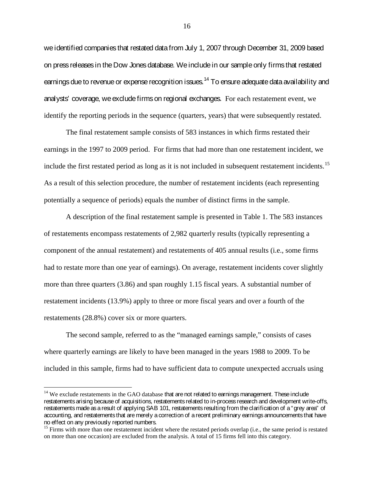we identified companies that restated data from July 1, 2007 through December 31, 2009 based on press releases in the Dow Jones database. We include in our sample only firms that restated earnings due to revenue or expense recognition issues.  $^{14}$  $^{14}$  $^{14}$  To ensure adequate data availability and analysts' coverage, we exclude firms on regional exchanges. For each restatement event, we identify the reporting periods in the sequence (quarters, years) that were subsequently restated.

The final restatement sample consists of 583 instances in which firms restated their earnings in the 1997 to 2009 period. For firms that had more than one restatement incident, we include the first restated period as long as it is not included in subsequent restatement incidents. [15](#page-17-1) As a result of this selection procedure, the number of restatement incidents (each representing potentially a sequence of periods) equals the number of distinct firms in the sample.

A description of the final restatement sample is presented in Table 1. The 583 instances of restatements encompass restatements of 2,982 quarterly results (typically representing a component of the annual restatement) and restatements of 405 annual results (i.e., some firms had to restate more than one year of earnings). On average, restatement incidents cover slightly more than three quarters (3.86) and span roughly 1.15 fiscal years. A substantial number of restatement incidents (13.9%) apply to three or more fiscal years and over a fourth of the restatements (28.8%) cover six or more quarters.

The second sample, referred to as the "managed earnings sample," consists of cases where quarterly earnings are likely to have been managed in the years 1988 to 2009. To be included in this sample, firms had to have sufficient data to compute unexpected accruals using

<span id="page-17-0"></span> $14$  We exclude restatements in the GAO database that are not related to earnings management. These include restatements arising because of acquisitions, restatements related to in-process research and development write-offs, restatements made as a result of applying SAB 101, restatements resulting from the clarification of a "grey area" of accounting, and restatements that are merely a correction of a recent preliminary earnings announcements that have no effect on any previously reported numbers.

<span id="page-17-1"></span><sup>&</sup>lt;sup>15</sup> Firms with more than one restatement incident where the restated periods overlap (i.e., the same period is restated on more than one occasion) are excluded from the analysis. A total of 15 firms fell into this category.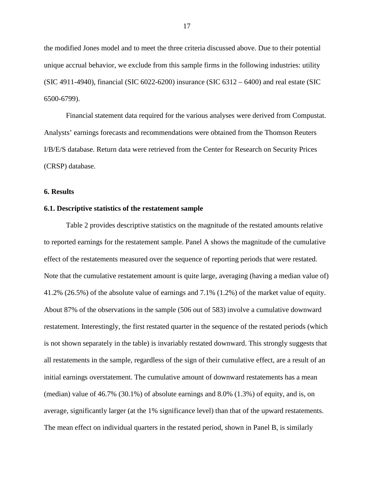the modified Jones model and to meet the three criteria discussed above. Due to their potential unique accrual behavior, we exclude from this sample firms in the following industries: utility (SIC 4911-4940), financial (SIC 6022-6200) insurance (SIC 6312 – 6400) and real estate (SIC 6500-6799).

Financial statement data required for the various analyses were derived from Compustat. Analysts' earnings forecasts and recommendations were obtained from the Thomson Reuters I/B/E/S database. Return data were retrieved from the Center for Research on Security Prices (CRSP) database.

### **6. Results**

### **6.1. Descriptive statistics of the restatement sample**

Table 2 provides descriptive statistics on the magnitude of the restated amounts relative to reported earnings for the restatement sample. Panel A shows the magnitude of the cumulative effect of the restatements measured over the sequence of reporting periods that were restated. Note that the cumulative restatement amount is quite large, averaging (having a median value of) 41.2% (26.5%) of the absolute value of earnings and 7.1% (1.2%) of the market value of equity. About 87% of the observations in the sample (506 out of 583) involve a cumulative downward restatement. Interestingly, the first restated quarter in the sequence of the restated periods (which is not shown separately in the table) is invariably restated downward. This strongly suggests that all restatements in the sample, regardless of the sign of their cumulative effect, are a result of an initial earnings overstatement. The cumulative amount of downward restatements has a mean (median) value of 46.7% (30.1%) of absolute earnings and 8.0% (1.3%) of equity, and is, on average, significantly larger (at the 1% significance level) than that of the upward restatements. The mean effect on individual quarters in the restated period, shown in Panel B, is similarly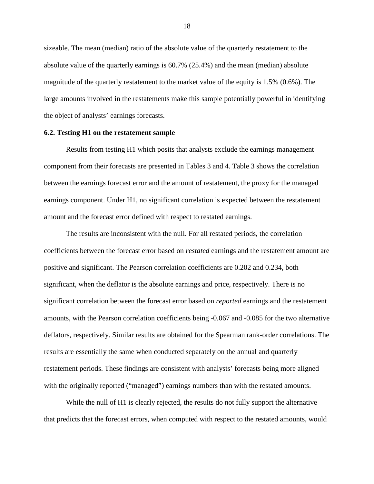sizeable. The mean (median) ratio of the absolute value of the quarterly restatement to the absolute value of the quarterly earnings is 60.7% (25.4%) and the mean (median) absolute magnitude of the quarterly restatement to the market value of the equity is 1.5% (0.6%). The large amounts involved in the restatements make this sample potentially powerful in identifying the object of analysts' earnings forecasts.

### **6.2. Testing H1 on the restatement sample**

Results from testing H1 which posits that analysts exclude the earnings management component from their forecasts are presented in Tables 3 and 4. Table 3 shows the correlation between the earnings forecast error and the amount of restatement, the proxy for the managed earnings component. Under H1, no significant correlation is expected between the restatement amount and the forecast error defined with respect to restated earnings.

The results are inconsistent with the null. For all restated periods, the correlation coefficients between the forecast error based on *restated* earnings and the restatement amount are positive and significant. The Pearson correlation coefficients are 0.202 and 0.234, both significant, when the deflator is the absolute earnings and price, respectively. There is no significant correlation between the forecast error based on *reported* earnings and the restatement amounts, with the Pearson correlation coefficients being -0.067 and -0.085 for the two alternative deflators, respectively. Similar results are obtained for the Spearman rank-order correlations. The results are essentially the same when conducted separately on the annual and quarterly restatement periods. These findings are consistent with analysts' forecasts being more aligned with the originally reported ("managed") earnings numbers than with the restated amounts.

While the null of H1 is clearly rejected, the results do not fully support the alternative that predicts that the forecast errors, when computed with respect to the restated amounts, would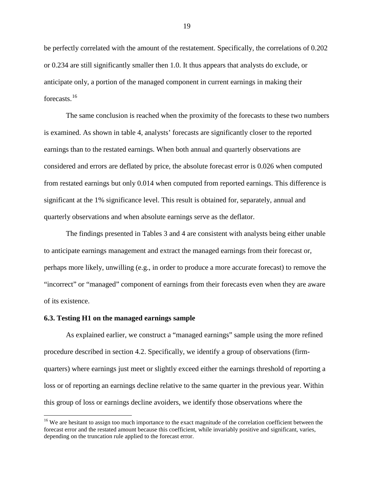be perfectly correlated with the amount of the restatement. Specifically, the correlations of 0.202 or 0.234 are still significantly smaller then 1.0. It thus appears that analysts do exclude, or anticipate only, a portion of the managed component in current earnings in making their forecasts.[16](#page-20-0)

The same conclusion is reached when the proximity of the forecasts to these two numbers is examined. As shown in table 4, analysts' forecasts are significantly closer to the reported earnings than to the restated earnings. When both annual and quarterly observations are considered and errors are deflated by price, the absolute forecast error is 0.026 when computed from restated earnings but only 0.014 when computed from reported earnings. This difference is significant at the 1% significance level. This result is obtained for, separately, annual and quarterly observations and when absolute earnings serve as the deflator.

The findings presented in Tables 3 and 4 are consistent with analysts being either unable to anticipate earnings management and extract the managed earnings from their forecast or, perhaps more likely, unwilling (e.g., in order to produce a more accurate forecast) to remove the "incorrect" or "managed" component of earnings from their forecasts even when they are aware of its existence.

#### **6.3. Testing H1 on the managed earnings sample**

As explained earlier, we construct a "managed earnings" sample using the more refined procedure described in section 4.2. Specifically, we identify a group of observations (firmquarters) where earnings just meet or slightly exceed either the earnings threshold of reporting a loss or of reporting an earnings decline relative to the same quarter in the previous year. Within this group of loss or earnings decline avoiders, we identify those observations where the

<span id="page-20-0"></span><sup>&</sup>lt;sup>16</sup> We are hesitant to assign too much importance to the exact magnitude of the correlation coefficient between the forecast error and the restated amount because this coefficient, while invariably positive and significant, varies, depending on the truncation rule applied to the forecast error.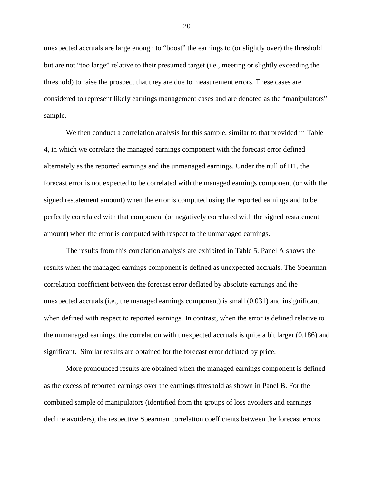unexpected accruals are large enough to "boost" the earnings to (or slightly over) the threshold but are not "too large" relative to their presumed target (i.e., meeting or slightly exceeding the threshold) to raise the prospect that they are due to measurement errors. These cases are considered to represent likely earnings management cases and are denoted as the "manipulators" sample.

We then conduct a correlation analysis for this sample, similar to that provided in Table 4, in which we correlate the managed earnings component with the forecast error defined alternately as the reported earnings and the unmanaged earnings. Under the null of H1, the forecast error is not expected to be correlated with the managed earnings component (or with the signed restatement amount) when the error is computed using the reported earnings and to be perfectly correlated with that component (or negatively correlated with the signed restatement amount) when the error is computed with respect to the unmanaged earnings.

The results from this correlation analysis are exhibited in Table 5. Panel A shows the results when the managed earnings component is defined as unexpected accruals. The Spearman correlation coefficient between the forecast error deflated by absolute earnings and the unexpected accruals (i.e., the managed earnings component) is small (0.031) and insignificant when defined with respect to reported earnings. In contrast, when the error is defined relative to the unmanaged earnings, the correlation with unexpected accruals is quite a bit larger (0.186) and significant. Similar results are obtained for the forecast error deflated by price.

More pronounced results are obtained when the managed earnings component is defined as the excess of reported earnings over the earnings threshold as shown in Panel B. For the combined sample of manipulators (identified from the groups of loss avoiders and earnings decline avoiders), the respective Spearman correlation coefficients between the forecast errors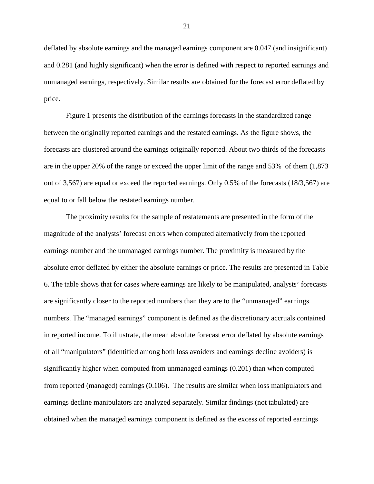deflated by absolute earnings and the managed earnings component are 0.047 (and insignificant) and 0.281 (and highly significant) when the error is defined with respect to reported earnings and unmanaged earnings, respectively. Similar results are obtained for the forecast error deflated by price.

Figure 1 presents the distribution of the earnings forecasts in the standardized range between the originally reported earnings and the restated earnings. As the figure shows, the forecasts are clustered around the earnings originally reported. About two thirds of the forecasts are in the upper 20% of the range or exceed the upper limit of the range and 53% of them (1,873 out of 3,567) are equal or exceed the reported earnings. Only  $0.5\%$  of the forecasts (18/3,567) are equal to or fall below the restated earnings number.

The proximity results for the sample of restatements are presented in the form of the magnitude of the analysts' forecast errors when computed alternatively from the reported earnings number and the unmanaged earnings number. The proximity is measured by the absolute error deflated by either the absolute earnings or price. The results are presented in Table 6. The table shows that for cases where earnings are likely to be manipulated, analysts' forecasts are significantly closer to the reported numbers than they are to the "unmanaged" earnings numbers. The "managed earnings" component is defined as the discretionary accruals contained in reported income. To illustrate, the mean absolute forecast error deflated by absolute earnings of all "manipulators" (identified among both loss avoiders and earnings decline avoiders) is significantly higher when computed from unmanaged earnings (0.201) than when computed from reported (managed) earnings (0.106). The results are similar when loss manipulators and earnings decline manipulators are analyzed separately. Similar findings (not tabulated) are obtained when the managed earnings component is defined as the excess of reported earnings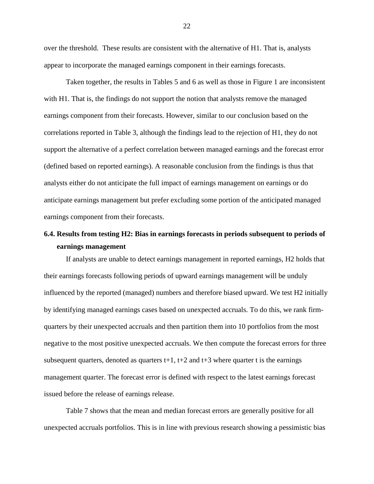over the threshold. These results are consistent with the alternative of H1. That is, analysts appear to incorporate the managed earnings component in their earnings forecasts.

Taken together, the results in Tables 5 and 6 as well as those in Figure 1 are inconsistent with H1. That is, the findings do not support the notion that analysts remove the managed earnings component from their forecasts. However, similar to our conclusion based on the correlations reported in Table 3, although the findings lead to the rejection of H1, they do not support the alternative of a perfect correlation between managed earnings and the forecast error (defined based on reported earnings). A reasonable conclusion from the findings is thus that analysts either do not anticipate the full impact of earnings management on earnings or do anticipate earnings management but prefer excluding some portion of the anticipated managed earnings component from their forecasts.

# **6.4. Results from testing H2: Bias in earnings forecasts in periods subsequent to periods of earnings management**

If analysts are unable to detect earnings management in reported earnings, H2 holds that their earnings forecasts following periods of upward earnings management will be unduly influenced by the reported (managed) numbers and therefore biased upward. We test H2 initially by identifying managed earnings cases based on unexpected accruals. To do this, we rank firmquarters by their unexpected accruals and then partition them into 10 portfolios from the most negative to the most positive unexpected accruals. We then compute the forecast errors for three subsequent quarters, denoted as quarters  $t+1$ ,  $t+2$  and  $t+3$  where quarter t is the earnings management quarter. The forecast error is defined with respect to the latest earnings forecast issued before the release of earnings release.

Table 7 shows that the mean and median forecast errors are generally positive for all unexpected accruals portfolios. This is in line with previous research showing a pessimistic bias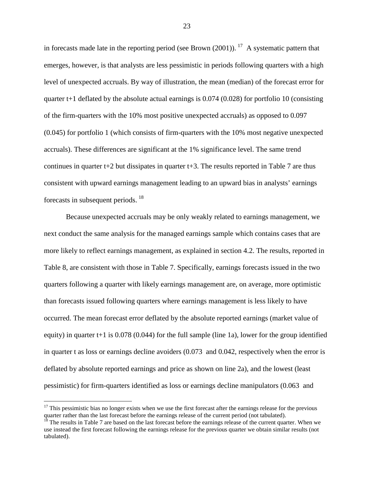in forecasts made late in the reporting period (see Brown  $(2001)$ ). <sup>17</sup> A systematic pattern that emerges, however, is that analysts are less pessimistic in periods following quarters with a high level of unexpected accruals. By way of illustration, the mean (median) of the forecast error for quarter  $t+1$  deflated by the absolute actual earnings is 0.074 (0.028) for portfolio 10 (consisting of the firm-quarters with the 10% most positive unexpected accruals) as opposed to 0.097 (0.045) for portfolio 1 (which consists of firm-quarters with the 10% most negative unexpected accruals). These differences are significant at the 1% significance level. The same trend continues in quarter  $t+2$  but dissipates in quarter  $t+3$ . The results reported in Table 7 are thus consistent with upward earnings management leading to an upward bias in analysts' earnings forecasts in subsequent periods. [18](#page-24-1)

Because unexpected accruals may be only weakly related to earnings management, we next conduct the same analysis for the managed earnings sample which contains cases that are more likely to reflect earnings management, as explained in section 4.2. The results, reported in Table 8, are consistent with those in Table 7. Specifically, earnings forecasts issued in the two quarters following a quarter with likely earnings management are, on average, more optimistic than forecasts issued following quarters where earnings management is less likely to have occurred. The mean forecast error deflated by the absolute reported earnings (market value of equity) in quarter  $t+1$  is 0.078 (0.044) for the full sample (line 1a), lower for the group identified in quarter t as loss or earnings decline avoiders (0.073 and 0.042, respectively when the error is deflated by absolute reported earnings and price as shown on line 2a), and the lowest (least pessimistic) for firm-quarters identified as loss or earnings decline manipulators (0.063 and

<span id="page-24-0"></span> $17$  This pessimistic bias no longer exists when we use the first forecast after the earnings release for the previous quarter rather than the last forecast before the earnings release of the current period (not tabulated).

<span id="page-24-1"></span> $18$  The results in Table 7 are based on the last forecast before the earnings release of the current quarter. When we use instead the first forecast following the earnings release for the previous quarter we obtain similar results (not tabulated).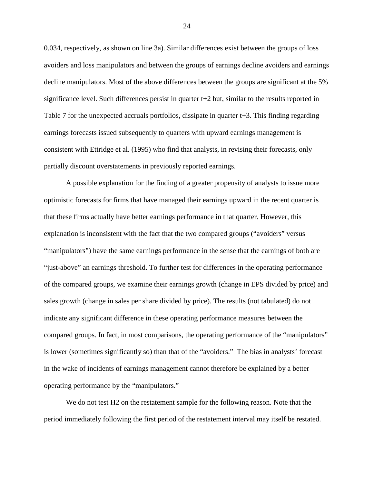0.034, respectively, as shown on line 3a). Similar differences exist between the groups of loss avoiders and loss manipulators and between the groups of earnings decline avoiders and earnings decline manipulators. Most of the above differences between the groups are significant at the 5% significance level. Such differences persist in quarter  $t+2$  but, similar to the results reported in Table 7 for the unexpected accruals portfolios, dissipate in quarter  $t+3$ . This finding regarding earnings forecasts issued subsequently to quarters with upward earnings management is consistent with Ettridge et al. (1995) who find that analysts, in revising their forecasts, only partially discount overstatements in previously reported earnings.

A possible explanation for the finding of a greater propensity of analysts to issue more optimistic forecasts for firms that have managed their earnings upward in the recent quarter is that these firms actually have better earnings performance in that quarter. However, this explanation is inconsistent with the fact that the two compared groups ("avoiders" versus "manipulators") have the same earnings performance in the sense that the earnings of both are "just-above" an earnings threshold. To further test for differences in the operating performance of the compared groups, we examine their earnings growth (change in EPS divided by price) and sales growth (change in sales per share divided by price). The results (not tabulated) do not indicate any significant difference in these operating performance measures between the compared groups. In fact, in most comparisons, the operating performance of the "manipulators" is lower (sometimes significantly so) than that of the "avoiders." The bias in analysts' forecast in the wake of incidents of earnings management cannot therefore be explained by a better operating performance by the "manipulators."

We do not test H2 on the restatement sample for the following reason. Note that the period immediately following the first period of the restatement interval may itself be restated.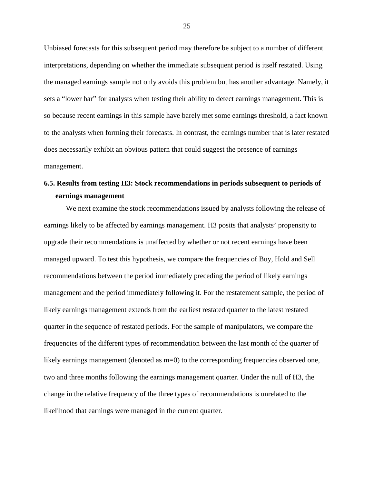Unbiased forecasts for this subsequent period may therefore be subject to a number of different interpretations, depending on whether the immediate subsequent period is itself restated. Using the managed earnings sample not only avoids this problem but has another advantage. Namely, it sets a "lower bar" for analysts when testing their ability to detect earnings management. This is so because recent earnings in this sample have barely met some earnings threshold, a fact known to the analysts when forming their forecasts. In contrast, the earnings number that is later restated does necessarily exhibit an obvious pattern that could suggest the presence of earnings management.

# **6.5. Results from testing H3: Stock recommendations in periods subsequent to periods of earnings management**

We next examine the stock recommendations issued by analysts following the release of earnings likely to be affected by earnings management. H3 posits that analysts' propensity to upgrade their recommendations is unaffected by whether or not recent earnings have been managed upward. To test this hypothesis, we compare the frequencies of Buy, Hold and Sell recommendations between the period immediately preceding the period of likely earnings management and the period immediately following it. For the restatement sample, the period of likely earnings management extends from the earliest restated quarter to the latest restated quarter in the sequence of restated periods. For the sample of manipulators, we compare the frequencies of the different types of recommendation between the last month of the quarter of likely earnings management (denoted as m=0) to the corresponding frequencies observed one, two and three months following the earnings management quarter. Under the null of H3, the change in the relative frequency of the three types of recommendations is unrelated to the likelihood that earnings were managed in the current quarter.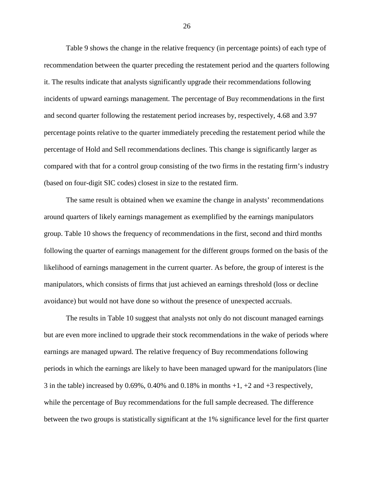Table 9 shows the change in the relative frequency (in percentage points) of each type of recommendation between the quarter preceding the restatement period and the quarters following it. The results indicate that analysts significantly upgrade their recommendations following incidents of upward earnings management. The percentage of Buy recommendations in the first and second quarter following the restatement period increases by, respectively, 4.68 and 3.97 percentage points relative to the quarter immediately preceding the restatement period while the percentage of Hold and Sell recommendations declines. This change is significantly larger as compared with that for a control group consisting of the two firms in the restating firm's industry (based on four-digit SIC codes) closest in size to the restated firm.

The same result is obtained when we examine the change in analysts' recommendations around quarters of likely earnings management as exemplified by the earnings manipulators group. Table 10 shows the frequency of recommendations in the first, second and third months following the quarter of earnings management for the different groups formed on the basis of the likelihood of earnings management in the current quarter. As before, the group of interest is the manipulators, which consists of firms that just achieved an earnings threshold (loss or decline avoidance) but would not have done so without the presence of unexpected accruals.

The results in Table 10 suggest that analysts not only do not discount managed earnings but are even more inclined to upgrade their stock recommendations in the wake of periods where earnings are managed upward. The relative frequency of Buy recommendations following periods in which the earnings are likely to have been managed upward for the manipulators (line 3 in the table) increased by 0.69%, 0.40% and 0.18% in months  $+1$ ,  $+2$  and  $+3$  respectively, while the percentage of Buy recommendations for the full sample decreased. The difference between the two groups is statistically significant at the 1% significance level for the first quarter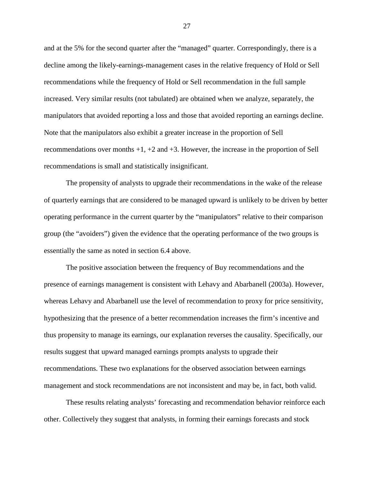and at the 5% for the second quarter after the "managed" quarter. Correspondingly, there is a decline among the likely-earnings-management cases in the relative frequency of Hold or Sell recommendations while the frequency of Hold or Sell recommendation in the full sample increased. Very similar results (not tabulated) are obtained when we analyze, separately, the manipulators that avoided reporting a loss and those that avoided reporting an earnings decline. Note that the manipulators also exhibit a greater increase in the proportion of Sell recommendations over months  $+1$ ,  $+2$  and  $+3$ . However, the increase in the proportion of Sell recommendations is small and statistically insignificant.

The propensity of analysts to upgrade their recommendations in the wake of the release of quarterly earnings that are considered to be managed upward is unlikely to be driven by better operating performance in the current quarter by the "manipulators" relative to their comparison group (the "avoiders") given the evidence that the operating performance of the two groups is essentially the same as noted in section 6.4 above.

The positive association between the frequency of Buy recommendations and the presence of earnings management is consistent with Lehavy and Abarbanell (2003a). However, whereas Lehavy and Abarbanell use the level of recommendation to proxy for price sensitivity, hypothesizing that the presence of a better recommendation increases the firm's incentive and thus propensity to manage its earnings, our explanation reverses the causality. Specifically, our results suggest that upward managed earnings prompts analysts to upgrade their recommendations. These two explanations for the observed association between earnings management and stock recommendations are not inconsistent and may be, in fact, both valid.

These results relating analysts' forecasting and recommendation behavior reinforce each other. Collectively they suggest that analysts, in forming their earnings forecasts and stock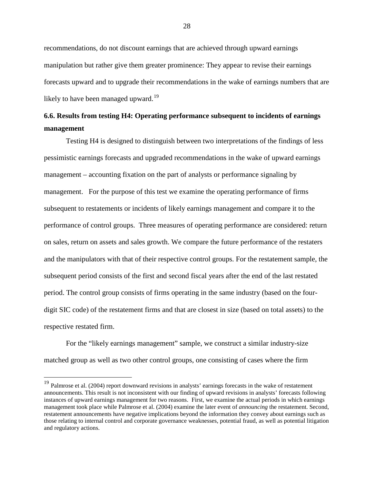recommendations, do not discount earnings that are achieved through upward earnings manipulation but rather give them greater prominence: They appear to revise their earnings forecasts upward and to upgrade their recommendations in the wake of earnings numbers that are likely to have been managed upward.<sup>[19](#page-29-0)</sup>

# **6.6. Results from testing H4: Operating performance subsequent to incidents of earnings management**

Testing H4 is designed to distinguish between two interpretations of the findings of less pessimistic earnings forecasts and upgraded recommendations in the wake of upward earnings management – accounting fixation on the part of analysts or performance signaling by management. For the purpose of this test we examine the operating performance of firms subsequent to restatements or incidents of likely earnings management and compare it to the performance of control groups. Three measures of operating performance are considered: return on sales, return on assets and sales growth. We compare the future performance of the restaters and the manipulators with that of their respective control groups. For the restatement sample, the subsequent period consists of the first and second fiscal years after the end of the last restated period. The control group consists of firms operating in the same industry (based on the fourdigit SIC code) of the restatement firms and that are closest in size (based on total assets) to the respective restated firm.

For the "likely earnings management" sample, we construct a similar industry-size matched group as well as two other control groups, one consisting of cases where the firm

<span id="page-29-0"></span><sup>&</sup>lt;sup>19</sup> Palmrose et al. (2004) report downward revisions in analysts' earnings forecasts in the wake of restatement announcements. This result is not inconsistent with our finding of upward revisions in analysts' forecasts following instances of upward earnings management for two reasons. First, we examine the actual periods in which earnings management took place while Palmrose et al. (2004) examine the later event of *announcing* the restatement. Second, restatement announcements have negative implications beyond the information they convey about earnings such as those relating to internal control and corporate governance weaknesses, potential fraud, as well as potential litigation and regulatory actions.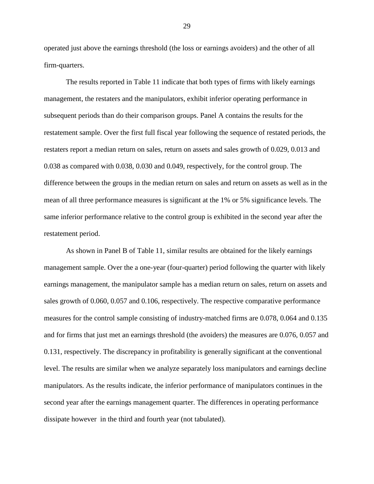operated just above the earnings threshold (the loss or earnings avoiders) and the other of all firm-quarters.

The results reported in Table 11 indicate that both types of firms with likely earnings management, the restaters and the manipulators, exhibit inferior operating performance in subsequent periods than do their comparison groups. Panel A contains the results for the restatement sample. Over the first full fiscal year following the sequence of restated periods, the restaters report a median return on sales, return on assets and sales growth of 0.029, 0.013 and 0.038 as compared with 0.038, 0.030 and 0.049, respectively, for the control group. The difference between the groups in the median return on sales and return on assets as well as in the mean of all three performance measures is significant at the 1% or 5% significance levels. The same inferior performance relative to the control group is exhibited in the second year after the restatement period.

As shown in Panel B of Table 11, similar results are obtained for the likely earnings management sample. Over the a one-year (four-quarter) period following the quarter with likely earnings management, the manipulator sample has a median return on sales, return on assets and sales growth of 0.060, 0.057 and 0.106, respectively. The respective comparative performance measures for the control sample consisting of industry-matched firms are 0.078, 0.064 and 0.135 and for firms that just met an earnings threshold (the avoiders) the measures are 0.076, 0.057 and 0.131, respectively. The discrepancy in profitability is generally significant at the conventional level. The results are similar when we analyze separately loss manipulators and earnings decline manipulators. As the results indicate, the inferior performance of manipulators continues in the second year after the earnings management quarter. The differences in operating performance dissipate however in the third and fourth year (not tabulated).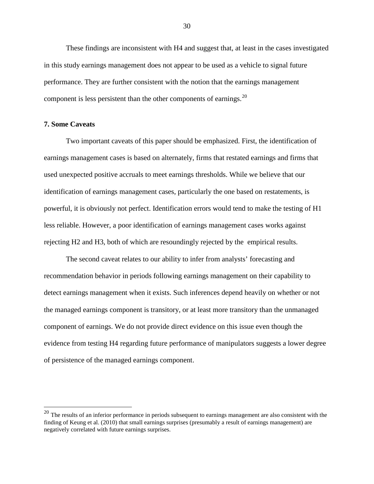These findings are inconsistent with H4 and suggest that, at least in the cases investigated in this study earnings management does not appear to be used as a vehicle to signal future performance. They are further consistent with the notion that the earnings management component is less persistent than the other components of earnings.  $20$ 

### **7. Some Caveats**

Two important caveats of this paper should be emphasized. First, the identification of earnings management cases is based on alternately, firms that restated earnings and firms that used unexpected positive accruals to meet earnings thresholds. While we believe that our identification of earnings management cases, particularly the one based on restatements, is powerful, it is obviously not perfect. Identification errors would tend to make the testing of H1 less reliable. However, a poor identification of earnings management cases works against rejecting H2 and H3, both of which are resoundingly rejected by the empirical results.

The second caveat relates to our ability to infer from analysts' forecasting and recommendation behavior in periods following earnings management on their capability to detect earnings management when it exists. Such inferences depend heavily on whether or not the managed earnings component is transitory, or at least more transitory than the unmanaged component of earnings. We do not provide direct evidence on this issue even though the evidence from testing H4 regarding future performance of manipulators suggests a lower degree of persistence of the managed earnings component.

<span id="page-31-0"></span> $20$  The results of an inferior performance in periods subsequent to earnings management are also consistent with the finding of Keung et al. (2010) that small earnings surprises (presumably a result of earnings management) are negatively correlated with future earnings surprises.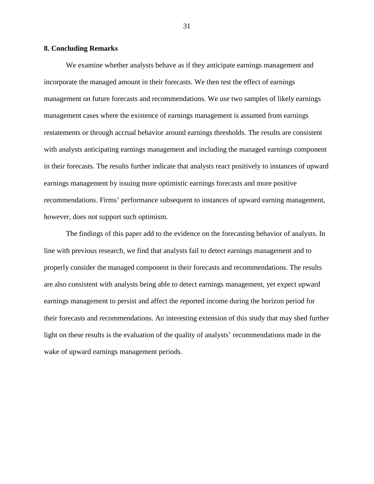### **8. Concluding Remarks**

We examine whether analysts behave as if they anticipate earnings management and incorporate the managed amount in their forecasts. We then test the effect of earnings management on future forecasts and recommendations. We use two samples of likely earnings management cases where the existence of earnings management is assumed from earnings restatements or through accrual behavior around earnings thresholds. The results are consistent with analysts anticipating earnings management and including the managed earnings component in their forecasts. The results further indicate that analysts react positively to instances of upward earnings management by issuing more optimistic earnings forecasts and more positive recommendations. Firms' performance subsequent to instances of upward earning management, however, does not support such optimism.

The findings of this paper add to the evidence on the forecasting behavior of analysts. In line with previous research, we find that analysts fail to detect earnings management and to properly consider the managed component in their forecasts and recommendations. The results are also consistent with analysts being able to detect earnings management, yet expect upward earnings management to persist and affect the reported income during the horizon period for their forecasts and recommendations. An interesting extension of this study that may shed further light on these results is the evaluation of the quality of analysts' recommendations made in the wake of upward earnings management periods.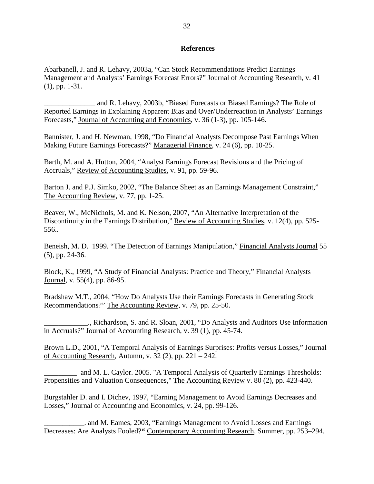### **References**

Abarbanell, J. and R. Lehavy, 2003a, "Can Stock Recommendations Predict Earnings Management and Analysts' Earnings Forecast Errors?" Journal of Accounting Research, v. 41 (1), pp. 1-31.

\_\_\_\_\_\_\_\_\_\_\_\_\_\_ and R. Lehavy, 2003b, "Biased Forecasts or Biased Earnings? The Role of Reported Earnings in Explaining Apparent Bias and Over/Underreaction in Analysts' Earnings Forecasts," Journal of Accounting and Economics, v. 36 (1-3), pp. 105-146.

Bannister, J. and H. Newman, 1998, "Do Financial Analysts Decompose Past Earnings When Making Future Earnings Forecasts?" Managerial Finance, v. 24 (6), pp. 10-25.

Barth, M. and A. Hutton, 2004, "Analyst Earnings Forecast Revisions and the Pricing of Accruals," Review of Accounting Studies, v. 91, pp. 59-96.

Barton J. and P.J. Simko, 2002, "The Balance Sheet as an Earnings Management Constraint," The Accounting Review, v. 77, pp. 1-25.

Beaver, W., McNichols, M. and K. Nelson, 2007, "An Alternative Interpretation of the Discontinuity in the Earnings Distribution," Review of Accounting Studies, v. 12(4), pp. 525- 556..

Beneish, M. D. 1999. "The Detection of Earnings Manipulation," Financial Analysts Journal 55 (5), pp. 24-36.

Block, K., 1999, "A Study of Financial Analysts: Practice and Theory," Financial Analysts Journal, v. 55(4), pp. 86-95.

Bradshaw M.T., 2004, "How Do Analysts Use their Earnings Forecasts in Generating Stock Recommendations?" The Accounting Review, v. 79, pp. 25-50.

\_\_\_\_\_\_\_\_\_\_\_\_., Richardson, S. and R. Sloan, 2001, "Do Analysts and Auditors Use Information in Accruals?" Journal of Accounting Research, v. 39 (1), pp. 45-74.

Brown L.D., 2001, "A Temporal Analysis of Earnings Surprises: Profits versus Losses," Journal of Accounting Research*,* Autumn, v. 32 (2), pp. 221 – 242.

\_\_\_\_\_\_\_\_\_ and M. L. Caylor. 2005. "A Temporal Analysis of Quarterly Earnings Thresholds: Propensities and Valuation Consequences," The Accounting Review v. 80 (2), pp. 423-440.

Burgstahler D. and I. Dichev, 1997, "Earning Management to Avoid Earnings Decreases and Losses," Journal of Accounting and Economics, v. 24, pp. 99-126.

\_\_\_\_\_\_\_\_\_\_\_. and M. Eames, 2003, "Earnings Management to Avoid Losses and Earnings Decreases: Are Analysts Fooled?**"** Contemporary Accounting Research*,* Summer, pp. 253–294.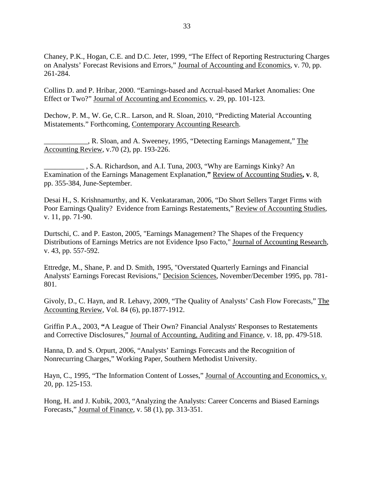Chaney, P.K., Hogan, C.E. and D.C. Jeter, 1999, "The Effect of Reporting Restructuring Charges on Analysts' Forecast Revisions and Errors," Journal of Accounting and Economics, v. 70, pp. 261-284.

Collins D. and P. Hribar, 2000. "Earnings-based and Accrual-based Market Anomalies: One Effect or Two?" Journal of Accounting and Economics, v. 29, pp. 101-123.

Dechow, P. M., W. Ge, C.R.. Larson, and R. Sloan, 2010, "Predicting Material Accounting Mistatements." Forthcoming, Contemporary Accounting Research.

 $\Box$ , R. Sloan, and A. Sweeney, 1995, "Detecting Earnings Management," The Accounting Review, v.70 (2), pp. 193-226.

\_\_\_\_\_\_\_\_\_\_\_ , S.A. Richardson, and A.I. Tuna, 2003, "Why are Earnings Kinky? An Examination of the Earnings Management Explanation,**"** Review of Accounting Studies**, v**. 8, pp. 355-384, June-September.

Desai H., S. Krishnamurthy, and K. Venkataraman, 2006, "Do Short Sellers Target Firms with Poor Earnings Quality? Evidence from Earnings Restatements," Review of Accounting Studies, v. 11, pp. 71-90.

Durtschi, C. and P. Easton, 2005, "Earnings Management? The Shapes of the Frequency Distributions of Earnings Metrics are not Evidence Ipso Facto," Journal of Accounting Research, v. 43, pp. 557-592.

Ettredge, M., Shane, P. and D. Smith, 1995, "Overstated Quarterly Earnings and Financial Analysts' Earnings Forecast Revisions," Decision Sciences, November/December 1995, pp. 781- 801.

Givoly, D., C. Hayn, and R. Lehavy, 2009, "The Quality of Analysts' Cash Flow Forecasts," The Accounting Review, Vol. 84 (6), pp.1877-1912.

Griffin P.A., 2003, **"**A League of Their Own? Financial Analysts' Responses to Restatements and Corrective Disclosures," Journal of Accounting, Auditing and Finance, v. 18, pp. 479-518.

Hanna, D. and S. Orpurt, 2006, "Analysts' Earnings Forecasts and the Recognition of Nonrecurring Charges," Working Paper, Southern Methodist University.

Hayn, C., 1995, "The Information Content of Losses," Journal of Accounting and Economics, v. 20, pp. 125-153.

Hong, H. and J. Kubik, 2003, "Analyzing the Analysts: Career Concerns and Biased Earnings Forecasts," Journal of Finance, v. 58 (1), pp. 313-351.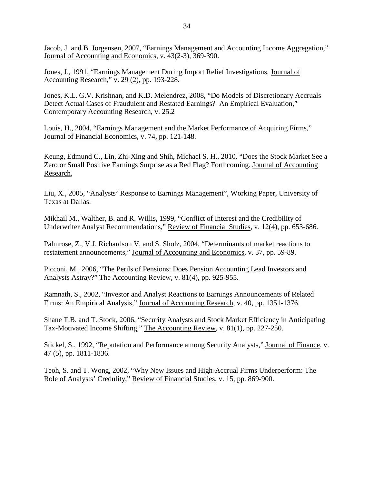Jacob, J. and B. Jorgensen, 2007, "Earnings Management and Accounting Income Aggregation," Journal of Accounting and Economics, v. 43(2-3), 369-390.

Jones, J., 1991, "Earnings Management During Import Relief Investigations, Journal of Accounting Research," v. 29 (2), pp. 193-228.

Jones, K.L. G.V. Krishnan, and K.D. Melendrez, 2008, "Do Models of Discretionary Accruals Detect Actual Cases of Fraudulent and Restated Earnings? An Empirical Evaluation," Contemporary Accounting Research, v. 25.2

Louis, H., 2004, "Earnings Management and the Market Performance of Acquiring Firms," Journal of Financial Economics, v. 74, pp. 121-148.

Keung, Edmund C., Lin, Zhi-Xing and Shih, Michael S. H., 2010. "Does the Stock Market See a Zero or Small Positive Earnings Surprise as a Red Flag? Forthcoming. Journal of Accounting Research,

Liu, X., 2005, "Analysts' Response to Earnings Management", Working Paper, University of Texas at Dallas.

Mikhail M., Walther, B. and R. Willis, 1999, "Conflict of Interest and the Credibility of Underwriter Analyst Recommendations," Review of Financial Studies, v. 12(4), pp. 653-686.

Palmrose, Z., V.J. Richardson V, and S. Sholz, 2004, "Determinants of market reactions to restatement announcements," Journal of Accounting and Economics, v. 37, pp. 59-89.

Picconi, M., 2006, "The Perils of Pensions: Does Pension Accounting Lead Investors and Analysts Astray?" The Accounting Review, v. 81(4), pp. 925-955.

Ramnath, S., 2002, "Investor and Analyst Reactions to Earnings Announcements of Related Firms: An Empirical Analysis," Journal of Accounting Research, v. 40, pp. 1351-1376.

Shane T.B. and T. Stock, 2006, "Security Analysts and Stock Market Efficiency in Anticipating Tax-Motivated Income Shifting," The Accounting Review, v. 81(1), pp. 227-250.

Stickel, S., 1992, "Reputation and Performance among Security Analysts," Journal of Finance, v. 47 (5), pp. 1811-1836.

Teoh, S. and T. Wong, 2002, "Why New Issues and High-Accrual Firms Underperform: The Role of Analysts' Credulity," Review of Financial Studies, v. 15, pp. 869-900.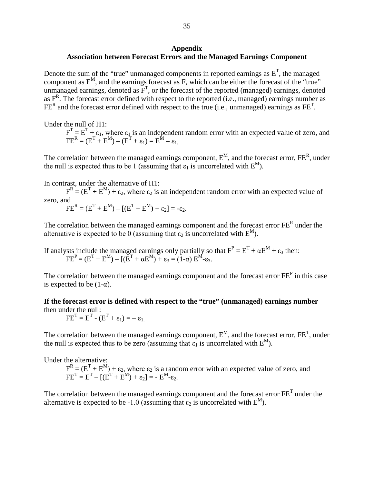### **Appendix Association between Forecast Errors and the Managed Earnings Component**

Denote the sum of the "true" unmanaged components in reported earnings as  $E<sup>T</sup>$ , the managed component as  $E^M$ , and the earnings forecast as F, which can be either the forecast of the "true" unmanaged earnings, denoted as  $F<sup>T</sup>$ , or the forecast of the reported (managed) earnings, denoted as  $F<sup>R</sup>$ . The forecast error defined with respect to the reported (i.e., managed) earnings number as  $FE<sup>R</sup>$  and the forecast error defined with respect to the true (i.e., unmanaged) earnings as  $FE<sup>T</sup>$ .

Under the null of H1:

 $F<sup>T</sup> = E<sup>T</sup> + \varepsilon_1$ , where  $\varepsilon_1$  is an independent random error with an expected value of zero, and  $\text{FE}^{\text{R}} = (\text{E}^{\text{T}} + \text{E}^{\text{M}}) - (\text{E}^{\text{T}} + \epsilon_1) = \text{E}^{\text{M}} - \epsilon_1.$ 

The correlation between the managed earnings component,  $E^M$ , and the forecast error,  $FE^R$ , under the null is expected thus to be 1 (assuming that  $\varepsilon_1$  is uncorrelated with  $E^M$ ).

In contrast, under the alternative of H1:

 $F^{R} = (E^{T} + E^{M}) + \varepsilon_{2}$ , where  $\varepsilon_{2}$  is an independent random error with an expected value of zero, and

 $FE^{R} = (E^{T} + E^{M}) - [(E^{T} + E^{M}) + \varepsilon_{2}] = -\varepsilon_{2}.$ 

The correlation between the managed earnings component and the forecast error  $FE<sup>R</sup>$  under the alternative is expected to be 0 (assuming that  $\varepsilon_2$  is uncorrelated with  $E^M$ ).

If analysts include the managed earnings only partially so that  $F^P = E^T + \alpha E^M + \epsilon_3$  then:  $\overline{F}E^{P} = (E^{T} + E^{M}) - [(E^{T} + \alpha E^{M}) + \varepsilon_{3} = (1 - \alpha) E^{M} - \varepsilon_{3}].$ 

The correlation between the managed earnings component and the forecast error FE<sup>P</sup> in this case is expected to be  $(1-\alpha)$ .

**If the forecast error is defined with respect to the "true" (unmanaged) earnings number** then under the null:

 $FE^{T} = E^{T} - (E^{T} + \varepsilon_{1}) = -\varepsilon_{1}$ .

The correlation between the managed earnings component,  $E^M$ , and the forecast error,  $FE^T$ , under the null is expected thus to be zero (assuming that  $\varepsilon_1$  is uncorrelated with  $E^M$ ).

Under the alternative:

 $F^{R} = (E^{T} + E^{M}) + \varepsilon_{2}$ , where  $\varepsilon_{2}$  is a random error with an expected value of zero, and  $FE^{T} = E^{T} - [(E^{T} + E^{M}) + \varepsilon_{2}] = - E^{M} - \varepsilon_{2}.$ 

The correlation between the managed earnings component and the forecast error  $FE<sup>T</sup>$  under the alternative is expected to be -1.0 (assuming that  $\varepsilon_2$  is uncorrelated with  $E^M$ ).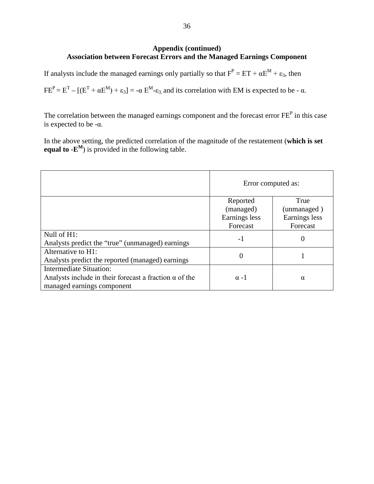## **Appendix (continued) Association between Forecast Errors and the Managed Earnings Component**

If analysts include the managed earnings only partially so that  $F^P = ET + \alpha E^M + \epsilon_3$ , then

 $FE<sup>P</sup> = E<sup>T</sup> - [(E<sup>T</sup> + \alpha E<sup>M</sup>) + \epsilon_3] = -\alpha E<sup>M</sup> - \epsilon_3$  and its correlation with EM is expected to be -  $\alpha$ .

The correlation between the managed earnings component and the forecast error  $FE<sup>P</sup>$  in this case is expected to be -α.

In the above setting, the predicted correlation of the magnitude of the restatement (**which is set equal to**  $-\mathbf{E}^M$ ) is provided in the following table.

|                                                               | Error computed as: |               |  |
|---------------------------------------------------------------|--------------------|---------------|--|
|                                                               | Reported           | True          |  |
|                                                               | (managed)          | (unmanaged)   |  |
|                                                               | Earnings less      | Earnings less |  |
|                                                               | Forecast           | Forecast      |  |
| Null of H1:                                                   | $-1$               |               |  |
| Analysts predict the "true" (unmanaged) earnings              |                    |               |  |
| Alternative to H1:                                            |                    |               |  |
| Analysts predict the reported (managed) earnings              | 0                  |               |  |
| Intermediate Situation:                                       |                    |               |  |
| Analysts include in their forecast a fraction $\alpha$ of the | $\alpha$ -1        | $\alpha$      |  |
| managed earnings component                                    |                    |               |  |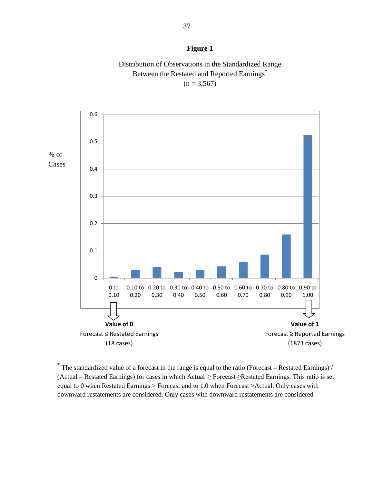## **Figure 1**

## Distribution of Observations in the Standardized Range Between the Restated and Reported Earnings<sup>\*</sup>  $(n = 3,567)$



 $*$  The standardized value of a forecast in the range is equal to the ratio (Forecast – Restated Earnings) / (Actual – Restated Earnings) for cases in which Actual ≥ Forecast ≥Restated Earnings. This ratio is set equal to 0 when Restated Earnings > Forecast and to 1.0 when Forecast >Actual. Only cases with downward restatements are considered. Only cases with downward restatements are considered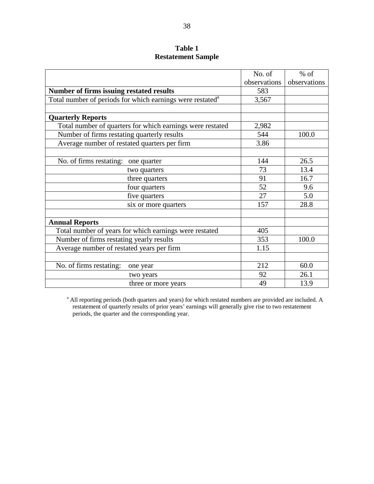## **Table 1 Restatement Sample**

|                                                                       | No. of       | $%$ of       |
|-----------------------------------------------------------------------|--------------|--------------|
|                                                                       | observations | observations |
| Number of firms issuing restated results                              | 583          |              |
| Total number of periods for which earnings were restated <sup>a</sup> | 3,567        |              |
|                                                                       |              |              |
| <b>Quarterly Reports</b>                                              |              |              |
| Total number of quarters for which earnings were restated             | 2,982        |              |
| Number of firms restating quarterly results                           | 544          | 100.0        |
| Average number of restated quarters per firm                          | 3.86         |              |
|                                                                       |              |              |
| No. of firms restating: one quarter                                   | 144          | 26.5         |
| two quarters                                                          | 73           | 13.4         |
| three quarters                                                        | 91           | 16.7         |
| four quarters                                                         | 52           | 9.6          |
| five quarters                                                         | 27           | 5.0          |
| six or more quarters                                                  | 157          | 28.8         |
|                                                                       |              |              |
| <b>Annual Reports</b>                                                 |              |              |
| Total number of years for which earnings were restated                | 405          |              |
| Number of firms restating yearly results                              | 353          | 100.0        |
| Average number of restated years per firm                             | 1.15         |              |
|                                                                       |              |              |
| No. of firms restating:<br>one year                                   | 212          | 60.0         |
| two years                                                             | 92           | 26.1         |
| three or more years                                                   | 49           | 13.9         |

<sup>a</sup> All reporting periods (both quarters and years) for which restated numbers are provided are included. A restatement of quarterly results of prior years' earnings will generally give rise to two restatement periods, the quarter and the corresponding year.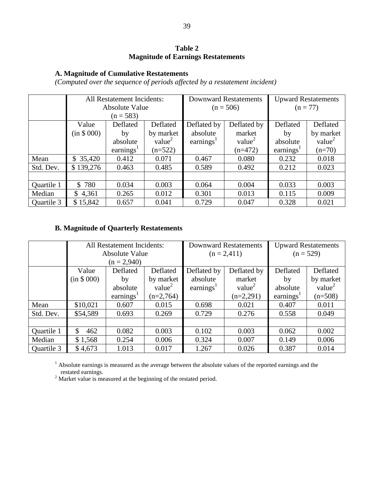## **Table 2 Magnitude of Earnings Restatements**

## **A. Magnitude of Cumulative Restatements**

*(Computed over the sequence of periods affected by a restatement incident)*

|            | All Restatement Incidents: |                |                    |                                           | <b>Downward Restatements</b> | <b>Upward Restatements</b>                |              |
|------------|----------------------------|----------------|--------------------|-------------------------------------------|------------------------------|-------------------------------------------|--------------|
|            |                            | Absolute Value |                    |                                           | $(n = 506)$                  |                                           | $(n = 77)$   |
|            |                            | $(n = 583)$    |                    |                                           |                              |                                           |              |
|            | Value                      | Deflated       | Deflated           | Deflated by                               | Deflated by                  | Deflated                                  | Deflated     |
|            | (in \$000)                 | by             | by market          | absolute                                  | market                       | by                                        | by market    |
|            |                            | absolute       | value <sup>2</sup> | earnings <sup><math>\text{L}</math></sup> | value <sup>2</sup>           | absolute                                  | value $^{2}$ |
|            |                            | earnings $1$   | $(n=522)$          |                                           | $(n=472)$                    | earnings <sup><math>\text{1}</math></sup> | $(n=70)$     |
| Mean       | \$35,420                   | 0.412          | 0.071              | 0.467                                     | 0.080                        | 0.232                                     | 0.018        |
| Std. Dev.  | \$139,276                  | 0.463          | 0.485              | 0.589                                     | 0.492                        | 0.212                                     | 0.023        |
|            |                            |                |                    |                                           |                              |                                           |              |
| Quartile 1 | \$780                      | 0.034          | 0.003              | 0.064                                     | 0.004                        | 0.033                                     | 0.003        |
| Median     | \$4,361                    | 0.265          | 0.012              | 0.301                                     | 0.013                        | 0.115                                     | 0.009        |
| Quartile 3 | \$15,842                   | 0.657          | 0.041              | 0.729                                     | 0.047                        | 0.328                                     | 0.021        |

## **B. Magnitude of Quarterly Restatements**

|            | All Restatement Incidents: |                       |                    |                                           | <b>Downward Restatements</b> | <b>Upward Restatements</b>                |                     |
|------------|----------------------------|-----------------------|--------------------|-------------------------------------------|------------------------------|-------------------------------------------|---------------------|
|            |                            | <b>Absolute Value</b> |                    |                                           | $(n = 2,411)$                |                                           | $(n = 529)$         |
|            |                            | $(n = 2,940)$         |                    |                                           |                              |                                           |                     |
|            | Value                      | Deflated              | Deflated           | Deflated by                               | Deflated by                  | Deflated                                  | Deflated            |
|            | (in \$000)                 | by                    | by market          | absolute                                  | market                       | by                                        | by market           |
|            |                            | absolute              | value <sup>2</sup> | earnings <sup><math>\text{L}</math></sup> | value <sup>2</sup>           | absolute                                  | value $\frac{2}{x}$ |
|            |                            | earnings <sup>1</sup> | $(n=2,764)$        |                                           | $(n=2,291)$                  | earnings <sup><math>\text{ }</math></sup> | $(n=508)$           |
| Mean       | \$10,021                   | 0.607                 | 0.015              | 0.698                                     | 0.021                        | 0.407                                     | 0.011               |
| Std. Dev.  | \$54,589                   | 0.693                 | 0.269              | 0.729                                     | 0.276                        | 0.558                                     | 0.049               |
|            |                            |                       |                    |                                           |                              |                                           |                     |
| Quartile 1 | \$<br>462                  | 0.082                 | 0.003              | 0.102                                     | 0.003                        | 0.062                                     | 0.002               |
| Median     | \$1,568                    | 0.254                 | 0.006              | 0.324                                     | 0.007                        | 0.149                                     | 0.006               |
| Quartile 3 | \$4,673                    | 1.013                 | 0.017              | 1.267                                     | 0.026                        | 0.387                                     | 0.014               |

<sup>1</sup> Absolute earnings is measured as the average between the absolute values of the reported earnings and the restated earnings. 2 Market value is measured at the beginning of the restated period.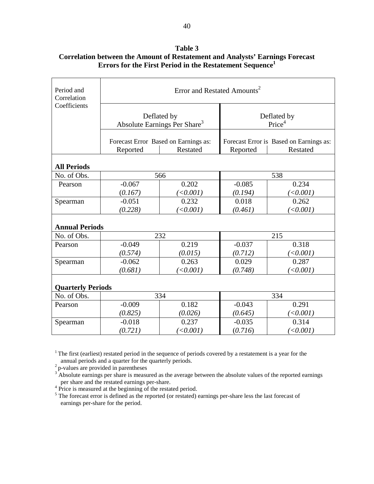|                           |                                         | ETTOTS TOT THE FILST I CLIOU III THE INESTATEMENT SEQUENCE |          |                                                     |  |  |  |
|---------------------------|-----------------------------------------|------------------------------------------------------------|----------|-----------------------------------------------------|--|--|--|
| Period and<br>Correlation | Error and Restated Amounts <sup>2</sup> |                                                            |          |                                                     |  |  |  |
| Coefficients              |                                         | Deflated by<br>Absolute Earnings Per Share <sup>3</sup>    |          | Deflated by<br>Price <sup>4</sup>                   |  |  |  |
|                           | Reported                                | Forecast Error Based on Earnings as:<br>Restated           | Reported | Forecast Error is Based on Earnings as:<br>Restated |  |  |  |
| <b>All Periods</b>        |                                         |                                                            |          |                                                     |  |  |  |
| No. of Obs.               |                                         | 566                                                        | 538      |                                                     |  |  |  |
| Pearson                   | $-0.067$                                | 0.202                                                      | $-0.085$ | 0.234                                               |  |  |  |
|                           | (0.167)                                 | (<0.001)                                                   | (0.194)  | (<0.001)                                            |  |  |  |
| Spearman                  | $-0.051$                                | 0.232                                                      | 0.018    | 0.262                                               |  |  |  |
|                           | (0.228)                                 | (<0.001)                                                   | (0.461)  | (<0.001)                                            |  |  |  |
| <b>Annual Periods</b>     |                                         |                                                            |          |                                                     |  |  |  |
| No. of Obs.               |                                         | 232                                                        |          | 215                                                 |  |  |  |
| Pearson                   | $-0.049$                                | 0.219                                                      | $-0.037$ | 0.318                                               |  |  |  |
|                           | (0.574)                                 | (0.015)                                                    | (0.712)  | (<0.001)                                            |  |  |  |
| Spearman                  | $-0.062$                                | 0.263                                                      | 0.029    | 0.287                                               |  |  |  |
|                           | (0.681)                                 | (<0.001)                                                   | (0.748)  | (<0.001)                                            |  |  |  |
| <b>Quarterly Periods</b>  |                                         |                                                            |          |                                                     |  |  |  |
| No. of Obs.               |                                         | 334                                                        |          | 334                                                 |  |  |  |
| Pearson                   | $-0.009$                                | 0.182                                                      | $-0.043$ | 0.291                                               |  |  |  |
|                           | (0.825)                                 | (0.026)                                                    | (0.645)  | (<0.001)                                            |  |  |  |
| Spearman                  | $-0.018$                                | 0.237                                                      | $-0.035$ | 0.314                                               |  |  |  |
|                           | (0.721)                                 | (<0.001)                                                   | (0.716)  | (<0.001)                                            |  |  |  |

**Table 3 Correlation between the Amount of Restatement and Analysts' Earnings Forecast Errors for the First Period in the Restatement Sequence1**

<sup>1</sup> The first (earliest) restated period in the sequence of periods covered by a restatement is a year for the annual periods and a quarter for the quarterly periods.

annual periods and a quarter for the quarterly periods.<br>
<sup>2</sup> p-values are provided in parentheses<br>
<sup>3</sup> Absolute earnings per share is measured as the average between the absolute values of the reported earnings per share

per share and the restated earnings per-share. 4 Price is measured at the beginning of the restated period.

<sup>5</sup> The forecast error is defined as the reported (or restated) earnings per-share less the last forecast of earnings per-share for the period.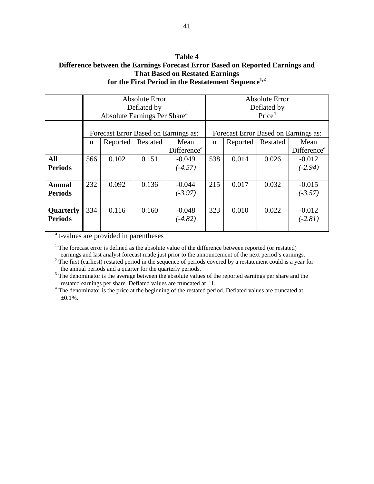## **Table 4 Difference between the Earnings Forecast Error Based on Reported Earnings and That Based on Restated Earnings for the First Period in the Restatement Sequence1,2**

|                | Absolute Error |                                          |          |                                      |     | <b>Absolute Error</b> |                    |                                      |  |
|----------------|----------------|------------------------------------------|----------|--------------------------------------|-----|-----------------------|--------------------|--------------------------------------|--|
|                | Deflated by    |                                          |          |                                      |     | Deflated by           |                    |                                      |  |
|                |                | Absolute Earnings Per Share <sup>3</sup> |          |                                      |     |                       | Price <sup>4</sup> |                                      |  |
|                |                |                                          |          |                                      |     |                       |                    |                                      |  |
|                |                |                                          |          |                                      |     |                       |                    |                                      |  |
|                |                |                                          |          | Forecast Error Based on Earnings as: |     |                       |                    | Forecast Error Based on Earnings as: |  |
|                | $\mathbf n$    | Reported                                 | Restated | Mean                                 | n   | Reported              | Restated           | Mean                                 |  |
|                |                |                                          |          | Difference <sup>a</sup>              |     |                       |                    | Difference <sup>a</sup>              |  |
| <b>All</b>     | 566            | 0.102                                    | 0.151    | $-0.049$                             | 538 | 0.014                 | 0.026              | $-0.012$                             |  |
| <b>Periods</b> |                |                                          |          | $(-4.57)$                            |     |                       |                    | $(-2.94)$                            |  |
|                |                |                                          |          |                                      |     |                       |                    |                                      |  |
| <b>Annual</b>  | 232            | 0.092                                    | 0.136    | $-0.044$                             | 215 | 0.017                 | 0.032              | $-0.015$                             |  |
| <b>Periods</b> |                |                                          |          | $(-3.97)$                            |     |                       |                    | $(-3.57)$                            |  |
|                |                |                                          |          |                                      |     |                       |                    |                                      |  |
| Quarterly      | 334            | 0.116                                    | 0.160    | $-0.048$                             | 323 | 0.010                 | 0.022              | $-0.012$                             |  |
| <b>Periods</b> |                |                                          |          | $(-4.82)$                            |     |                       |                    | $(-2.81)$                            |  |
|                |                |                                          |          |                                      |     |                       |                    |                                      |  |

<sup>a</sup> t-values are provided in parentheses

<sup>1</sup> The forecast error is defined as the absolute value of the difference between reported (or restated) earnings and last analyst forecast made just prior to the announcement of the next period's earnings.

<sup>2</sup> The first (earliest) restated period in the sequence of periods covered by a restatement could is a year for the annual periods and a quarter for the quarterly periods.

<sup>3</sup> The denominator is the average between the absolute values of the reported earnings per share and the restated earnings per share. Deflated values are truncated at  $\pm 1$ .

<sup>4</sup> The denominator is the price at the beginning of the restated period. Deflated values are truncated at <sup>4</sup>  $\pm 0.1\%$ .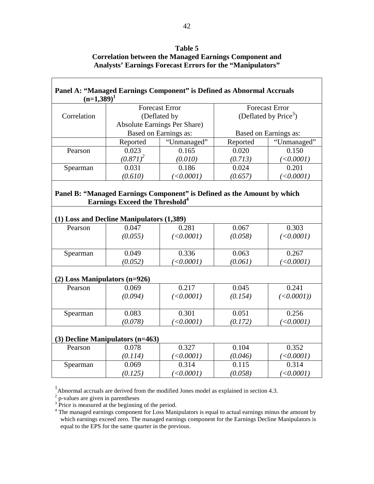| Table 5                                                          |
|------------------------------------------------------------------|
| Correlation between the Managed Earnings Component and           |
| <b>Analysts' Earnings Forecast Errors for the "Manipulators"</b> |

| $(n=1,389)^1$                 |                                                    | Panel A: "Managed Earnings Component" is Defined as Abnormal Accruals |          |                                   |
|-------------------------------|----------------------------------------------------|-----------------------------------------------------------------------|----------|-----------------------------------|
|                               |                                                    | <b>Forecast Error</b>                                                 |          | <b>Forecast Error</b>             |
| Correlation                   |                                                    | (Deflated by                                                          |          | (Deflated by Price <sup>3</sup> ) |
|                               |                                                    | <b>Absolute Earnings Per Share)</b>                                   |          |                                   |
|                               |                                                    | Based on Earnings as:                                                 |          | Based on Earnings as:             |
|                               | Reported                                           | "Unmanaged"                                                           | Reported | "Unmanaged"                       |
| Pearson                       | 0.023                                              | 0.165                                                                 | 0.020    | 0.150                             |
|                               | $(0.871)^2$                                        | (0.010)                                                               | (0.713)  | (<0.0001)                         |
| Spearman                      | 0.031                                              | 0.186                                                                 | 0.024    | 0.201                             |
|                               | (0.610)                                            | (<0.0001)                                                             | (0.657)  | (<0.0001)                         |
| Pearson                       | (1) Loss and Decline Manipulators (1,389)<br>0.047 | 0.281                                                                 | 0.067    | 0.303                             |
|                               | <b>Earnings Exceed the Threshold</b> <sup>4</sup>  |                                                                       |          |                                   |
|                               |                                                    |                                                                       |          |                                   |
|                               |                                                    |                                                                       |          |                                   |
|                               | (0.055)                                            | (<0.0001)                                                             | (0.058)  | (<0.0001)                         |
| Spearman                      | 0.049                                              | 0.336                                                                 | 0.063    | 0.267                             |
|                               | (0.052)                                            | (<0.0001)                                                             | (0.061)  | (<0.0001)                         |
| (2) Loss Manipulators (n=926) |                                                    |                                                                       |          |                                   |
| Pearson                       | 0.069                                              | 0.217                                                                 | 0.045    | 0.241                             |
|                               | (0.094)                                            | (<0.0001)                                                             | (0.154)  | $(<0.0001$ )                      |
|                               |                                                    |                                                                       |          |                                   |
| Spearman                      | 0.083                                              | 0.301                                                                 | 0.051    | 0.256                             |
|                               | (0.078)                                            | (<0.0001)                                                             | (0.172)  | (<0.0001)                         |
|                               | (3) Decline Manipulators (n=463)                   |                                                                       |          |                                   |
| Pearson                       | 0.078                                              | 0.327                                                                 | 0.104    | 0.352                             |
|                               | (0.114)                                            | (<0.0001)                                                             | (0.046)  | (<0.0001)                         |
| Spearman                      | 0.069                                              | 0.314                                                                 | 0.115    | 0.314                             |
|                               | (0.125)                                            |                                                                       |          |                                   |

 $<sup>1</sup>$ Abnormal accruals are derived from the modified Jones model as explained in section 4.3.</sup>

 $\overline{1}$ 

 $2<sup>2</sup>$  p-values are given in parentheses<br> $3<sup>3</sup>$  Price is measured at the beginning of the period.

<sup>4</sup> The managed earnings component for Loss Manipulators is equal to actual earnings minus the amount by which earnings exceed zero. The managed earnings component for the Earnings Decline Manipulators is equal to the EPS for the same quarter in the previous.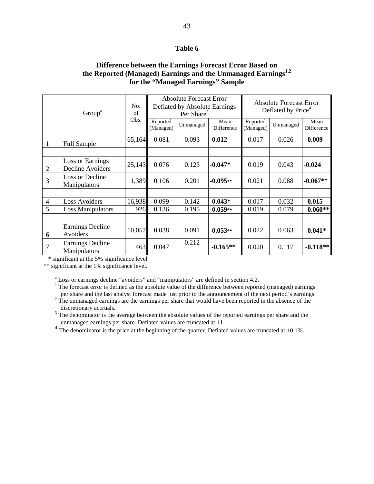### **Table 6**

## **Difference between the Earnings Forecast Error Based on the Reported (Managed) Earnings and the Unmanaged Earnings1,2 for the "Managed Earnings" Sample**

|                | Group <sup>a</sup>                   | No.<br>of |                       | <b>Absolute Forecast Error</b><br>Deflated by Absolute Earnings<br>Per Share <sup>3</sup> |                    |                       | <b>Absolute Forecast Error</b><br>Deflated by Price <sup>4</sup> |                    |  |
|----------------|--------------------------------------|-----------|-----------------------|-------------------------------------------------------------------------------------------|--------------------|-----------------------|------------------------------------------------------------------|--------------------|--|
|                |                                      | Obs.      | Reported<br>(Managed) | Unmanaged                                                                                 | Mean<br>Difference | Reported<br>(Managed) | Unmanaged                                                        | Mean<br>Difference |  |
| 1              | <b>Full Sample</b>                   | 65,164    | 0.081                 | 0.093                                                                                     | $-0.012$           | 0.017                 | 0.026                                                            | $-0.009$           |  |
|                |                                      |           |                       |                                                                                           |                    |                       |                                                                  |                    |  |
| $\overline{2}$ | Loss or Earnings<br>Decline Avoiders | 25,143    | 0.076                 | 0.123                                                                                     | $-0.047*$          | 0.019                 | 0.043                                                            | $-0.024$           |  |
| 3              | Loss or Decline<br>Manipulators      | 1,389     | 0.106                 | 0.201                                                                                     | $-0.095**$         | 0.021                 | 0.088                                                            | $-0.067**$         |  |
|                |                                      |           |                       |                                                                                           |                    |                       |                                                                  |                    |  |
| $\overline{4}$ | <b>Loss Avoiders</b>                 | 16,938    | 0.099                 | 0.142                                                                                     | $-0.043*$          | 0.017                 | 0.032                                                            | $-0.015$           |  |
| 5              | <b>Loss Manipulators</b>             | 926       | 0.136                 | 0.195                                                                                     | $-0.059**$         | 0.019                 | 0.079                                                            | $-0.060**$         |  |
|                |                                      |           |                       |                                                                                           |                    |                       |                                                                  |                    |  |
| 6              | Earnings Decline<br>Avoiders         | 10,057    | 0.038                 | 0.091                                                                                     | $-0.053**$         | 0.022                 | 0.063                                                            | $-0.041*$          |  |
| $\overline{7}$ | Earnings Decline<br>Manipulators     | 463       | 0.047                 | 0.212                                                                                     | $-0.165**$         | 0.020                 | 0.117                                                            | $-0.118**$         |  |

\* significant at the 5% significance level

\*\* significant at the 1% significance level.

<sup>a</sup> Loss or earnings decline "avoiders" and "manipulators" are defined in section 4.2.

<sup>1</sup> The forecast error is defined as the absolute value of the difference between reported (managed) earnings

per share and the last analyst forecast made just prior to the announcement of the next period's earnings.<br><sup>2</sup> The unmanaged earnings are the earnings per share that would have been reported in the absence of the discretio

 $3$  The denominator is the average between the absolute values of the reported earnings per share and the unmanaged earnings per share. Deflated values are truncated at  $\pm 1$ .<br><sup>4</sup> The denominator is the price at the beginning of the quarter. Deflated values are truncated at  $\pm 0.1$ %.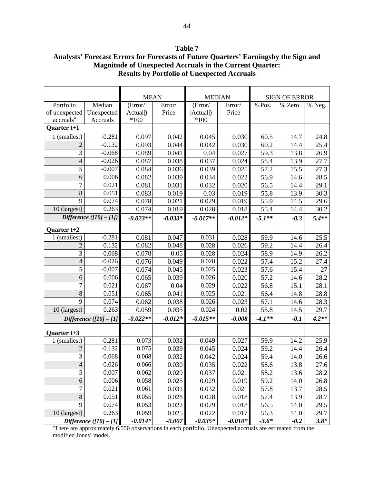| Table 7                                                                             |
|-------------------------------------------------------------------------------------|
| Analysts' Forecast Errors for Forecasts of Future Quarters' Earningsby the Sign and |
| <b>Magnitude of Unexpected Accruals in the Current Quarter:</b>                     |
| <b>Results by Portfolio of Unexpected Accruals</b>                                  |

|                       |                         | <b>MEAN</b> |           | <b>MEDIAN</b> |           | <b>SIGN OF ERROR</b> |        |         |
|-----------------------|-------------------------|-------------|-----------|---------------|-----------|----------------------|--------|---------|
| Portfolio             | Median                  | (Error/     | Error/    | (Error/       | Error/    | % Pos.               | % Zero | % Neg.  |
| of unexpected         | Unexpected              | (Actual)    | Price     | (Actual)      | Price     |                      |        |         |
| accruals <sup>a</sup> | Accruals                | $*100$      |           | $*100$        |           |                      |        |         |
| Quarter t+1           |                         |             |           |               |           |                      |        |         |
| 1 (smallest)          | $-0.281$                | 0.097       | 0.042     | 0.045         | 0.030     | 60.5                 | 14.7   | 24.8    |
| 2                     | $-0.132$                | 0.093       | 0.044     | 0.042         | 0.030     | 60.2                 | 14.4   | 25.4    |
| $\overline{3}$        | $-0.068$                | 0.089       | 0.041     | 0.04          | 0.027     | 59.3                 | 13.8   | 26.9    |
| $\overline{4}$        | $-0.026$                | 0.087       | 0.038     | 0.037         | 0.024     | 58.4                 | 13.9   | 27.7    |
| 5                     | $-0.007$                | 0.084       | 0.036     | 0.039         | 0.025     | 57.2                 | 15.5   | 27.3    |
| 6                     | 0.006                   | 0.082       | 0.039     | 0.034         | 0.022     | 56.9                 | 14.6   | 28.5    |
| $\overline{7}$        | 0.021                   | 0.081       | 0.031     | 0.032         | 0.020     | 56.5                 | 14.4   | 29.1    |
| 8                     | 0.051                   | 0.083       | 0.019     | 0.03          | 0.019     | 55.8                 | 13.9   | 30.3    |
| 9                     | 0.074                   | 0.078       | 0.021     | 0.029         | 0.019     | 55.9                 | 14.5   | 29.6    |
| 10 (largest)          | 0.263                   | 0.074       | 0.019     | 0.028         | 0.018     | 55.4                 | 14.4   | 30.2    |
|                       | Difference $([10]-[1])$ | $-0.023**$  | $-0.033*$ | $-0.017**$    | $-0.012*$ | $-5.1**$             | $-0.3$ | $5.4**$ |
| Quarter t+2           |                         |             |           |               |           |                      |        |         |
| 1 (smallest)          | $-0.281$                | 0.081       | 0.047     | 0.031         | 0.028     | 59.9                 | 14.6   | 25.5    |
| 2                     | $-0.132$                | 0.082       | 0.048     | 0.028         | 0.026     | 59.2                 | 14.4   | 26.4    |
| 3                     | $-0.068$                | 0.078       | 0.05      | 0.028         | 0.024     | 58.9                 | 14.9   | 26.2    |
| $\overline{4}$        | $-0.026$                | 0.076       | 0.049     | 0.028         | 0.022     | 57.4                 | 15.2   | 27.4    |
| 5                     | $-0.007$                | 0.074       | 0.045     | 0.025         | 0.023     | 57.6                 | 15.4   | 27      |
| 6                     | 0.006                   | 0.065       | 0.039     | 0.026         | 0.020     | 57.2                 | 14.6   | 28.2    |
| $\overline{7}$        | 0.021                   | 0.067       | 0.04      | 0.029         | 0.022     | 56.8                 | 15.1   | 28.1    |
| $\overline{8}$        | 0.051                   | 0.065       | 0.041     | 0.025         | 0.021     | 56.4                 | 14.8   | 28.8    |
| $\overline{9}$        | 0.074                   | 0.062       | 0.038     | 0.026         | 0.023     | 57.1                 | 14.6   | 28.3    |
| 10 (largest)          | 0.263                   | 0.059       | 0.035     | 0.024         | 0.02      | 55.8                 | 14.5   | 29.7    |
|                       | Difference $([10]-[1]$  | $-0.022**$  | $-0.012*$ | $-0.015**$    | $-0.008$  | $-4.1**$             | $-0.1$ | $4.2**$ |
| Quarter $t+3$         |                         |             |           |               |           |                      |        |         |
| 1 (smallest)          | $-0.281$                | 0.073       | 0.032     | 0.049         | 0.027     | 59.9                 | 14.2   | 25.9    |
| $\overline{c}$        | $-0.132$                | 0.075       | 0.039     | 0.045         | 0.024     | 59.2                 | 14.4   | 26.4    |
| $\overline{3}$        | $-0.068$                | 0.068       | 0.032     | 0.042         | 0.024     | 59.4                 | 14.0   | 26.6    |
| $\overline{4}$        | $-0.026$                | 0.066       | 0.030     | 0.035         | 0.022     | 58.6                 | 13.8   | 27.6    |
| $\overline{5}$        | $-0.007$                | 0.062       | 0.029     | 0.037         | 0.021     | 58.2                 | 13.6   | 28.2    |
| $\sqrt{6}$            | 0.006                   | 0.058       | 0.025     | 0.029         | 0.019     | 59.2                 | 14.0   | 26.8    |
| $\overline{7}$        | 0.021                   | 0.061       | 0.031     | 0.032         | 0.021     | 57.8                 | 13.7   | 28.5    |
| $8\,$                 | 0.051                   | 0.055       | 0.028     | 0.028         | 0.018     | 57.4                 | 13.9   | 28.7    |
| 9                     | 0.074                   | 0.053       | 0.022     | 0.029         | 0.018     | 56.5                 | 14.0   | 29.5    |
| 10 (largest)          | 0.263                   | 0.059       | 0.025     | 0.022         | 0.017     | 56.3                 | 14.0   | 29.7    |
|                       | Difference $(101 - 11)$ | $-0.014*$   | $-0.007$  | $-0.035*$     | $-0.010*$ | $-3.6*$              | $-0.2$ | $3.8*$  |

*Difference ([10] - [1]* -0.014\* -0.007 -0.035\* -0.010\* -3.6\* -0.2 3.8\*<br>
<sup>a</sup>There are approximately 6,550 observations in each portfolio. Unexpected accruals are estimated from the modified Jones' model.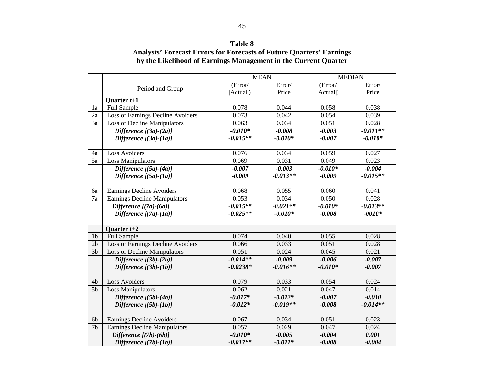## **Table 8 Analysts' Forecast Errors for Forecasts of Future Quarters' Earnings by the Likelihood of Earnings Management in the Current Quarter**

|                 |                                      | <b>MEAN</b> |            | <b>MEDIAN</b> |            |
|-----------------|--------------------------------------|-------------|------------|---------------|------------|
|                 | Period and Group                     | (Error/     | Error/     | (Error/       | Error/     |
|                 |                                      | (Actual)    | Price      | (Actual)      | Price      |
|                 | Quarter t+1                          |             |            |               |            |
| 1a              | Full Sample                          | 0.078       | 0.044      | 0.058         | 0.038      |
| 2a              | Loss or Earnings Decline Avoiders    | 0.073       | 0.042      | 0.054         | 0.039      |
| 3a              | <b>Loss or Decline Manipulators</b>  | 0.063       | 0.034      | 0.051         | 0.028      |
|                 | Difference $[(3a)-(2a)]$             | $-0.010*$   | $-0.008$   | $-0.003$      | $-0.011**$ |
|                 | Difference $[(3a)-(1a)]$             | $-0.015**$  | $-0.010*$  | $-0.007$      | $-0.010*$  |
|                 |                                      |             |            |               |            |
| 4a              | <b>Loss Avoiders</b>                 | 0.076       | 0.034      | 0.059         | 0.027      |
| $\overline{5a}$ | <b>Loss Manipulators</b>             | 0.069       | 0.031      | 0.049         | 0.023      |
|                 | Difference $[(5a)-(4a)]$             | $-0.007$    | $-0.003$   | $-0.010*$     | $-0.004$   |
|                 | Difference $[(5a)-(1a)]$             | $-0.009$    | $-0.013**$ | $-0.009$      | $-0.015**$ |
|                 |                                      |             |            |               |            |
| 6a              | <b>Earnings Decline Avoiders</b>     | 0.068       | 0.055      | 0.060         | 0.041      |
| $\overline{7a}$ | <b>Earnings Decline Manipulators</b> | 0.053       | 0.034      | 0.050         | 0.028      |
|                 | Difference $[(7a)-(6a)]$             | $-0.015**$  | $-0.021**$ | $-0.010*$     | $-0.013**$ |
|                 | Difference $[(7a)-(1a)]$             | $-0.025**$  | $-0.010*$  | $-0.008$      | $-0010*$   |
|                 |                                      |             |            |               |            |
|                 | Quarter t+2                          |             |            |               |            |
| 1 <sub>b</sub>  | <b>Full Sample</b>                   | 0.074       | 0.040      | 0.055         | 0.028      |
| 2 <sub>b</sub>  | Loss or Earnings Decline Avoiders    | 0.066       | 0.033      | 0.051         | 0.028      |
| 3 <sub>b</sub>  | <b>Loss or Decline Manipulators</b>  | 0.051       | 0.024      | 0.045         | 0.021      |
|                 | Difference $[(3b)-(2b)]$             | $-0.014**$  | $-0.009$   | $-0.006$      | $-0.007$   |
|                 | Difference $[(3b)-(1b)]$             | $-0.0238*$  | $-0.016**$ | $-0.010*$     | $-0.007$   |
|                 |                                      |             |            |               |            |
| 4b              | <b>Loss Avoiders</b>                 | 0.079       | 0.033      | 0.054         | 0.024      |
| 5 <sub>b</sub>  | <b>Loss Manipulators</b>             | 0.062       | 0.021      | 0.047         | 0.014      |
|                 | Difference $[(5b)-(4b)]$             | $-0.017*$   | $-0.012*$  | $-0.007$      | $-0.010$   |
|                 | Difference $[(5b)-(1b)]$             | $-0.012*$   | $-0.019**$ | $-0.008$      | $-0.014**$ |
|                 |                                      |             |            |               |            |
| 6 <sub>b</sub>  | Earnings Decline Avoiders            | 0.067       | 0.034      | 0.051         | 0.023      |
| 7 <sub>b</sub>  | <b>Earnings Decline Manipulators</b> | 0.057       | 0.029      | 0.047         | 0.024      |
|                 | Difference $[(7b)-(6b)]$             | $-0.010*$   | $-0.005$   | $-0.004$      | 0.001      |
|                 | Difference $[(7b)-(1b)]$             | $-0.017**$  | $-0.011*$  | $-0.008$      | $-0.004$   |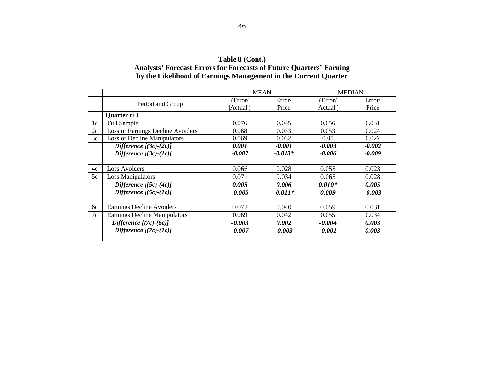| Table 8 (Cont.)                                                            |
|----------------------------------------------------------------------------|
| <b>Analysts' Forecast Errors for Forecasts of Future Quarters' Earning</b> |
| by the Likelihood of Earnings Management in the Current Quarter            |

|    |                                      |          | <b>MEAN</b> | <b>MEDIAN</b> |          |  |  |
|----|--------------------------------------|----------|-------------|---------------|----------|--|--|
|    | Period and Group                     | Error/   | Error/      | (Error/       | Error/   |  |  |
|    |                                      | Actual)  | Price       | Actual )      | Price    |  |  |
|    | Quarter $t+3$                        |          |             |               |          |  |  |
| 1c | <b>Full Sample</b>                   | 0.076    | 0.045       | 0.056         | 0.031    |  |  |
| 2c | Loss or Earnings Decline Avoiders    | 0.068    | 0.033       | 0.053         | 0.024    |  |  |
| 3c | <b>Loss or Decline Manipulators</b>  | 0.069    | 0.032       | 0.05          | 0.022    |  |  |
|    | Difference $[(3c)-(2c)]$             | 0.001    | $-0.001$    | $-0.003$      | $-0.002$ |  |  |
|    | Difference $[(3c)-(1c)]$             | $-0.007$ | $-0.013*$   | $-0.006$      | $-0.009$ |  |  |
|    |                                      |          |             |               |          |  |  |
| 4c | <b>Loss Avoiders</b>                 | 0.066    | 0.028       | 0.055         | 0.023    |  |  |
| 5c | <b>Loss Manipulators</b>             | 0.071    | 0.034       | 0.065         | 0.028    |  |  |
|    | Difference $[(5c)-(4c)]$             | 0.005    | 0.006       | $0.010*$      | 0.005    |  |  |
|    | Difference $[(5c)-(1c)]$             | $-0.005$ | $-0.011*$   | 0.009         | $-0.003$ |  |  |
|    |                                      |          |             |               |          |  |  |
| 6c | Earnings Decline Avoiders            | 0.072    | 0.040       | 0.059         | 0.031    |  |  |
| 7c | <b>Earnings Decline Manipulators</b> | 0.069    | 0.042       | 0.055         | 0.034    |  |  |
|    | Difference $[(7c)-(6c)]$             | $-0.003$ | 0.002       | $-0.004$      | 0.003    |  |  |
|    | Difference $[(7c)-(1c)]$             | $-0.007$ | $-0.003$    | $-0.001$      | 0.003    |  |  |
|    |                                      |          |             |               |          |  |  |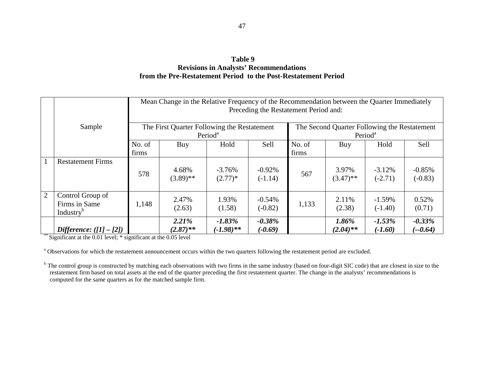## **Table 9 Revisions in Analysts' Recommendations from the Pre-Restatement Period to the Post-Restatement Period**

|              |                                                            | Mean Change in the Relative Frequency of the Recommendation between the Quarter Immediately<br>Preceding the Restatement Period and: |                                             |                           |                        |                                                                     |                         |                        |                        |  |  |  |
|--------------|------------------------------------------------------------|--------------------------------------------------------------------------------------------------------------------------------------|---------------------------------------------|---------------------------|------------------------|---------------------------------------------------------------------|-------------------------|------------------------|------------------------|--|--|--|
|              | Sample                                                     |                                                                                                                                      | The First Quarter Following the Restatement | Period <sup>a</sup>       |                        | The Second Quarter Following the Restatement<br>Period <sup>a</sup> |                         |                        |                        |  |  |  |
|              |                                                            | No. of<br>firms                                                                                                                      | Buy                                         | Hold                      | Sell                   | No. of<br>firms                                                     | Buy                     | Hold                   | Sell                   |  |  |  |
| $\mathbf{1}$ | <b>Restatement Firms</b>                                   | 578                                                                                                                                  | 4.68%<br>$(3.89)$ **                        | $-3.76%$<br>$(2.77)*$     | $-0.92\%$<br>$(-1.14)$ | 567                                                                 | 3.97%<br>$(3.47)$ **    | $-3.12%$<br>$(-2.71)$  | $-0.85%$<br>$(-0.83)$  |  |  |  |
| 2            | Control Group of<br>Firms in Same<br>Industry <sup>b</sup> | 1,148                                                                                                                                | 2.47%<br>(2.63)                             | 1.93%<br>(1.58)           | $-0.54%$<br>$(-0.82)$  | 1,133                                                               | 2.11%<br>(2.38)         | $-1.59\%$<br>$(-1.40)$ | 0.52%<br>(0.71)        |  |  |  |
|              | Difference: $([1] - [2])$                                  |                                                                                                                                      | 2.21%<br>$(2.87)$ **                        | $-1.83\%$<br>$(-1.98)$ ** | $-0.38\%$<br>$(-0.69)$ |                                                                     | $1.86\%$<br>$(2.04)$ ** | $-1.53\%$<br>$(-1.60)$ | $-0.33\%$<br>$(-0.64)$ |  |  |  |

<sup>\*\*</sup> Significant at the 0.01 level; \* significant at the 0.05 level

<sup>a</sup> Observations for which the restatement announcement occurs within the two quarters following the restatement period are excluded.

<sup>b</sup> The control group is constructed by matching each observations with two firms in the same industry (based on four-digit SIC code) that are closest in size to the restatement firm based on total assets at the end of the quarter preceding the first restatement quarter. The change in the analysts' recommendations is computed for the same quarters as for the matched sample firm.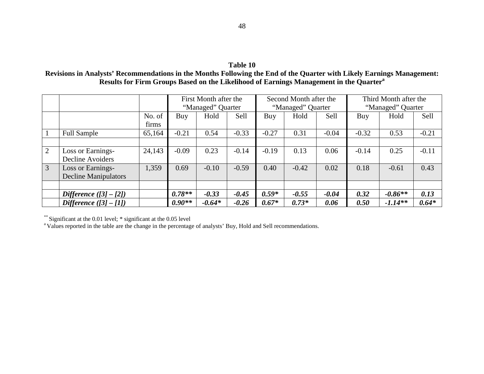## **Table 10**

**Revisions in Analysts' Recommendations in the Months Following the End of the Quarter with Likely Earnings Management:** Results for Firm Groups Based on the Likelihood of Earnings Management in the Quarter<sup>a</sup>

|                |                                                  |                 |                            | First Month after the<br>"Managed" Quarter |         |         | Second Month after the<br>"Managed" Quarter |         | Third Month after the<br>"Managed" Quarter |           |         |
|----------------|--------------------------------------------------|-----------------|----------------------------|--------------------------------------------|---------|---------|---------------------------------------------|---------|--------------------------------------------|-----------|---------|
|                |                                                  | No. of<br>firms | <b>Sell</b><br>Hold<br>Buy |                                            |         | Buy     | Hold                                        | Sell    | Buy                                        | Hold      | Sell    |
|                | <b>Full Sample</b>                               | 65,164          | $-0.21$                    | 0.54                                       | $-0.33$ | $-0.27$ | 0.31                                        | $-0.04$ | $-0.32$                                    | 0.53      | $-0.21$ |
|                |                                                  |                 |                            |                                            |         |         |                                             |         |                                            |           |         |
| 2              | Loss or Earnings-<br>Decline Avoiders            | 24,143          | $-0.09$                    | 0.23                                       | $-0.14$ | $-0.19$ | 0.13                                        | 0.06    | $-0.14$                                    | 0.25      | $-0.11$ |
| $\overline{3}$ | Loss or Earnings-<br><b>Decline Manipulators</b> | 1,359           | 0.69                       | $-0.10$                                    | $-0.59$ | 0.40    | $-0.42$                                     | 0.02    | 0.18                                       | $-0.61$   | 0.43    |
|                |                                                  |                 |                            |                                            |         |         |                                             |         |                                            |           |         |
|                | Difference $(3]-[2]$                             |                 | $0.78**$                   | $-0.33$                                    | $-0.45$ | $0.59*$ | $-0.55$                                     | $-0.04$ | 0.32                                       | $-0.86**$ | 0.13    |
|                | Difference $(3]-[1]$                             |                 | $0.90**$                   | $-0.64*$                                   | $-0.26$ | $0.67*$ | $0.73*$                                     | 0.06    | 0.50                                       | $-1.14**$ | $0.64*$ |

\*\* Significant at the 0.01 level; \* significant at the 0.05 level<br><sup>a</sup> Values reported in the table are the change in the percentage of analysts' Buy, Hold and Sell recommendations.